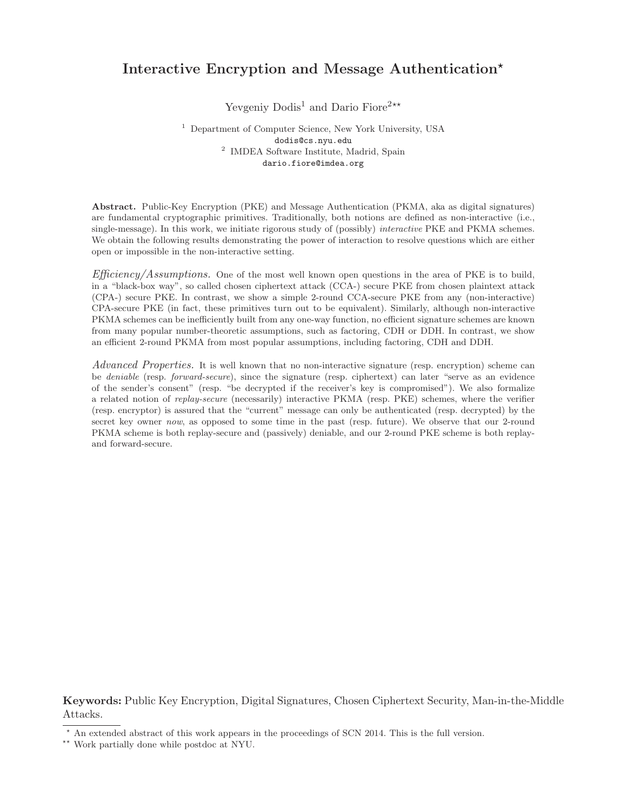# <span id="page-0-0"></span>Interactive Encryption and Message Authentication\*

Yevgeniy Dodis<sup>1</sup> and Dario Fiore<sup>2\*\*</sup>

<sup>1</sup> Department of Computer Science, New York University, USA dodis@cs.nyu.edu 2 IMDEA Software Institute, Madrid, Spain dario.fiore@imdea.org

Abstract. Public-Key Encryption (PKE) and Message Authentication (PKMA, aka as digital signatures) are fundamental cryptographic primitives. Traditionally, both notions are defined as non-interactive (i.e., single-message). In this work, we initiate rigorous study of (possibly) *interactive* PKE and PKMA schemes. We obtain the following results demonstrating the power of interaction to resolve questions which are either open or impossible in the non-interactive setting.

 $Efficiency/Assumptions.$  One of the most well known open questions in the area of PKE is to build, in a "black-box way", so called chosen ciphertext attack (CCA-) secure PKE from chosen plaintext attack (CPA-) secure PKE. In contrast, we show a simple 2-round CCA-secure PKE from any (non-interactive) CPA-secure PKE (in fact, these primitives turn out to be equivalent). Similarly, although non-interactive PKMA schemes can be inefficiently built from any one-way function, no efficient signature schemes are known from many popular number-theoretic assumptions, such as factoring, CDH or DDH. In contrast, we show an efficient 2-round PKMA from most popular assumptions, including factoring, CDH and DDH.

Advanced Properties. It is well known that no non-interactive signature (resp. encryption) scheme can be *deniable* (resp. *forward-secure*), since the signature (resp. ciphertext) can later "serve as an evidence of the sender's consent" (resp. "be decrypted if the receiver's key is compromised"). We also formalize a related notion of replay-secure (necessarily) interactive PKMA (resp. PKE) schemes, where the verifier (resp. encryptor) is assured that the "current" message can only be authenticated (resp. decrypted) by the secret key owner now, as opposed to some time in the past (resp. future). We observe that our 2-round PKMA scheme is both replay-secure and (passively) deniable, and our 2-round PKE scheme is both replayand forward-secure.

Keywords: Public Key Encryption, Digital Signatures, Chosen Ciphertext Security, Man-in-the-Middle Attacks.

<sup>⋆</sup> An extended abstract of this work appears in the proceedings of SCN 2014. This is the full version.

<sup>⋆⋆</sup> Work partially done while postdoc at NYU.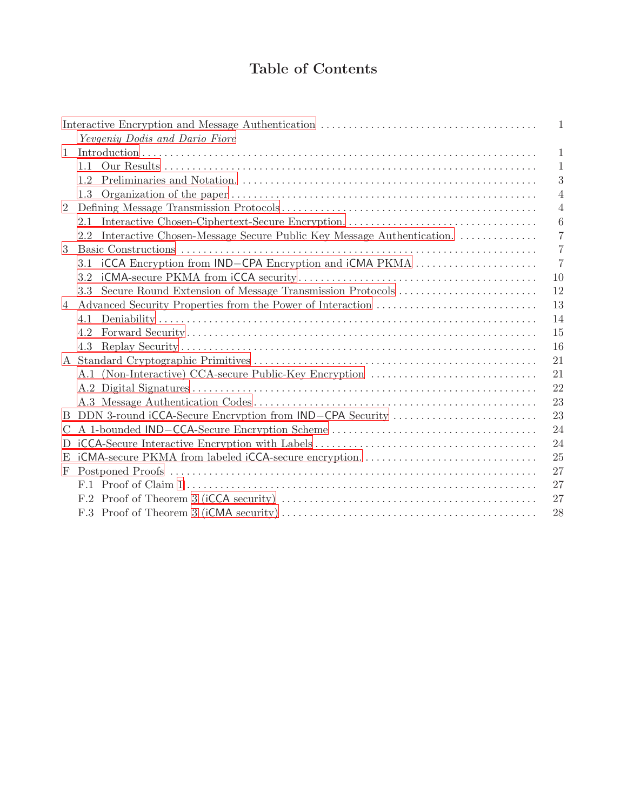# Table of Contents

|   |                                                                          | 1              |
|---|--------------------------------------------------------------------------|----------------|
|   | Yevgeniy Dodis and Dario Fiore                                           |                |
| 1 |                                                                          | 1              |
|   | 1.1                                                                      | $\mathbf{1}$   |
|   | 1.2                                                                      | 3              |
|   | 1.3                                                                      | 4              |
| 2 |                                                                          | 4              |
|   | 2.1                                                                      | 6              |
|   | 2.2 Interactive Chosen-Message Secure Public Key Message Authentication. | 7              |
| 3 | Basic Constructions                                                      | $\overline{7}$ |
|   | 3.1 iCCA Encryption from IND-CPA Encryption and iCMA PKMA                | $\overline{7}$ |
|   | 3.2                                                                      | 10             |
|   | 3.3                                                                      | 12             |
| 4 |                                                                          | 13             |
|   | 4.1                                                                      | 14             |
|   | 4.2                                                                      | 15             |
|   | 4.3                                                                      | 16             |
|   |                                                                          | 21             |
|   | A.1 (Non-Interactive) CCA-secure Public-Key Encryption                   | 21             |
|   |                                                                          | 22             |
|   |                                                                          | 23             |
| B | DDN 3-round iCCA-Secure Encryption from IND-CPA Security                 | 23             |
| C |                                                                          | 24             |
| D |                                                                          | 24             |
| E |                                                                          | 25             |
| F |                                                                          | 27             |
|   |                                                                          | 27             |
|   |                                                                          | 27             |
|   |                                                                          | 28             |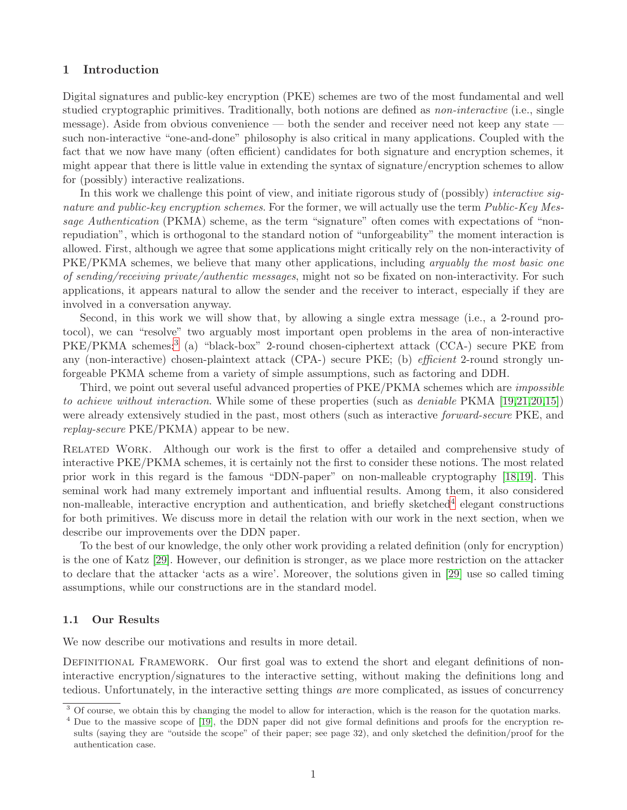# <span id="page-2-0"></span>1 Introduction

Digital signatures and public-key encryption (PKE) schemes are two of the most fundamental and well studied cryptographic primitives. Traditionally, both notions are defined as *non-interactive* (i.e., single message). Aside from obvious convenience — both the sender and receiver need not keep any state such non-interactive "one-and-done" philosophy is also critical in many applications. Coupled with the fact that we now have many (often efficient) candidates for both signature and encryption schemes, it might appear that there is little value in extending the syntax of signature/encryption schemes to allow for (possibly) interactive realizations.

In this work we challenge this point of view, and initiate rigorous study of (possibly) *interactive sig*nature and public-key encryption schemes. For the former, we will actually use the term *Public-Key Mes*sage Authentication (PKMA) scheme, as the term "signature" often comes with expectations of "nonrepudiation", which is orthogonal to the standard notion of "unforgeability" the moment interaction is allowed. First, although we agree that some applications might critically rely on the non-interactivity of PKE/PKMA schemes, we believe that many other applications, including *arguably the most basic one* of sending/receiving private/authentic messages, might not so be fixated on non-interactivity. For such applications, it appears natural to allow the sender and the receiver to interact, especially if they are involved in a conversation anyway.

Second, in this work we will show that, by allowing a single extra message (i.e., a 2-round protocol), we can "resolve" two arguably most important open problems in the area of non-interactive PKE/PKMA schemes:<sup>[3](#page-2-2)</sup> (a) "black-box" 2-round chosen-ciphertext attack (CCA-) secure PKE from any (non-interactive) chosen-plaintext attack (CPA-) secure PKE; (b) *efficient* 2-round strongly unforgeable PKMA scheme from a variety of simple assumptions, such as factoring and DDH.

Third, we point out several useful advanced properties of PKE/PKMA schemes which are impossible to achieve without interaction. While some of these properties (such as deniable PKMA [\[19,](#page-22-2)[21,](#page-22-3)[20,](#page-22-4)[15\]](#page-22-5)) were already extensively studied in the past, most others (such as interactive *forward-secure* PKE, and replay-secure PKE/PKMA) appear to be new.

Related Work. Although our work is the first to offer a detailed and comprehensive study of interactive PKE/PKMA schemes, it is certainly not the first to consider these notions. The most related prior work in this regard is the famous "DDN-paper" on non-malleable cryptography [\[18](#page-22-6)[,19\]](#page-22-2). This seminal work had many extremely important and influential results. Among them, it also considered non-malleable, interactive encryption and authentication, and briefly sketched<sup>[4](#page-2-3)</sup> elegant constructions for both primitives. We discuss more in detail the relation with our work in the next section, when we describe our improvements over the DDN paper.

To the best of our knowledge, the only other work providing a related definition (only for encryption) is the one of Katz [\[29\]](#page-22-7). However, our definition is stronger, as we place more restriction on the attacker to declare that the attacker 'acts as a wire'. Moreover, the solutions given in [\[29\]](#page-22-7) use so called timing assumptions, while our constructions are in the standard model.

# <span id="page-2-1"></span>1.1 Our Results

We now describe our motivations and results in more detail.

DEFINITIONAL FRAMEWORK. Our first goal was to extend the short and elegant definitions of noninteractive encryption/signatures to the interactive setting, without making the definitions long and tedious. Unfortunately, in the interactive setting things are more complicated, as issues of concurrency

<span id="page-2-2"></span><sup>&</sup>lt;sup>3</sup> Of course, we obtain this by changing the model to allow for interaction, which is the reason for the quotation marks.

<span id="page-2-3"></span><sup>&</sup>lt;sup>4</sup> Due to the massive scope of [\[19\]](#page-22-2), the DDN paper did not give formal definitions and proofs for the encryption results (saying they are "outside the scope" of their paper; see page 32), and only sketched the definition/proof for the authentication case.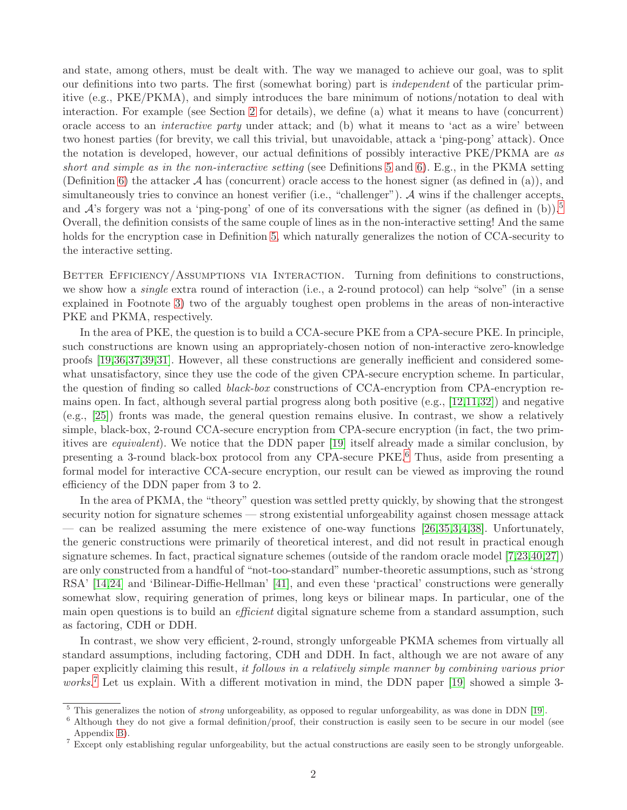and state, among others, must be dealt with. The way we managed to achieve our goal, was to split our definitions into two parts. The first (somewhat boring) part is independent of the particular primitive (e.g., PKE/PKMA), and simply introduces the bare minimum of notions/notation to deal with interaction. For example (see Section [2](#page-5-1) for details), we define (a) what it means to have (concurrent) oracle access to an interactive party under attack; and (b) what it means to 'act as a wire' between two honest parties (for brevity, we call this trivial, but unavoidable, attack a 'ping-pong' attack). Once the notation is developed, however, our actual definitions of possibly interactive PKE/PKMA are as short and simple as in the non-interactive setting (see Definitions [5](#page-7-1) and [6\)](#page-8-3). E.g., in the PKMA setting (Definition [6\)](#page-8-3) the attacker  $\mathcal A$  has (concurrent) oracle access to the honest signer (as defined in (a)), and simultaneously tries to convince an honest verifier (i.e., "challenger"). A wins if the challenger accepts, and  $\mathcal{A}$ 's forgery was not a 'ping-pong' of one of its conversations with the signer (as defined in (b)).<sup>[5](#page-3-0)</sup> Overall, the definition consists of the same couple of lines as in the non-interactive setting! And the same holds for the encryption case in Definition [5,](#page-7-1) which naturally generalizes the notion of CCA-security to the interactive setting.

BETTER EFFICIENCY/ASSUMPTIONS VIA INTERACTION. Turning from definitions to constructions, we show how a *single* extra round of interaction (i.e., a 2-round protocol) can help "solve" (in a sense explained in Footnote [3\)](#page-2-2) two of the arguably toughest open problems in the areas of non-interactive PKE and PKMA, respectively.

In the area of PKE, the question is to build a CCA-secure PKE from a CPA-secure PKE. In principle, such constructions are known using an appropriately-chosen notion of non-interactive zero-knowledge proofs [\[19](#page-22-2)[,36](#page-22-8)[,37](#page-22-9)[,39](#page-22-10)[,31\]](#page-22-11). However, all these constructions are generally inefficient and considered somewhat unsatisfactory, since they use the code of the given CPA-secure encryption scheme. In particular, the question of finding so called black-box constructions of CCA-encryption from CPA-encryption remains open. In fact, although several partial progress along both positive (e.g., [\[12](#page-21-0)[,11](#page-21-1)[,32\]](#page-22-12)) and negative (e.g., [\[25\]](#page-22-13)) fronts was made, the general question remains elusive. In contrast, we show a relatively simple, black-box, 2-round CCA-secure encryption from CPA-secure encryption (in fact, the two primitives are equivalent). We notice that the DDN paper [\[19\]](#page-22-2) itself already made a similar conclusion, by presenting a 3-round black-box protocol from any CPA-secure PKE.[6](#page-3-1) Thus, aside from presenting a formal model for interactive CCA-secure encryption, our result can be viewed as improving the round efficiency of the DDN paper from 3 to 2.

In the area of PKMA, the "theory" question was settled pretty quickly, by showing that the strongest security notion for signature schemes — strong existential unforgeability against chosen message attack — can be realized assuming the mere existence of one-way functions  $[26,35,3,4,38]$  $[26,35,3,4,38]$  $[26,35,3,4,38]$  $[26,35,3,4,38]$  $[26,35,3,4,38]$ . Unfortunately, the generic constructions were primarily of theoretical interest, and did not result in practical enough signature schemes. In fact, practical signature schemes (outside of the random oracle model [\[7,](#page-21-4)[23,](#page-22-17)[40,](#page-22-18)[27\]](#page-22-19)) are only constructed from a handful of "not-too-standard" number-theoretic assumptions, such as 'strong RSA' [\[14](#page-22-20)[,24\]](#page-22-21) and 'Bilinear-Diffie-Hellman' [\[41\]](#page-22-22), and even these 'practical' constructions were generally somewhat slow, requiring generation of primes, long keys or bilinear maps. In particular, one of the main open questions is to build an *efficient* digital signature scheme from a standard assumption, such as factoring, CDH or DDH.

In contrast, we show very efficient, 2-round, strongly unforgeable PKMA schemes from virtually all standard assumptions, including factoring, CDH and DDH. In fact, although we are not aware of any paper explicitly claiming this result, it follows in a relatively simple manner by combining various prior works.<sup>[7](#page-3-2)</sup> Let us explain. With a different motivation in mind, the DDN paper [\[19\]](#page-22-2) showed a simple 3-

This generalizes the notion of *strong* unforgeability, as opposed to regular unforgeability, as was done in DDN [\[19\]](#page-22-2).

<span id="page-3-1"></span><span id="page-3-0"></span><sup>&</sup>lt;sup>6</sup> Although they do not give a formal definition/proof, their construction is easily seen to be secure in our model (see Appendix [B\)](#page-24-1).

<span id="page-3-2"></span><sup>&</sup>lt;sup>7</sup> Except only establishing regular unforgeability, but the actual constructions are easily seen to be strongly unforgeable.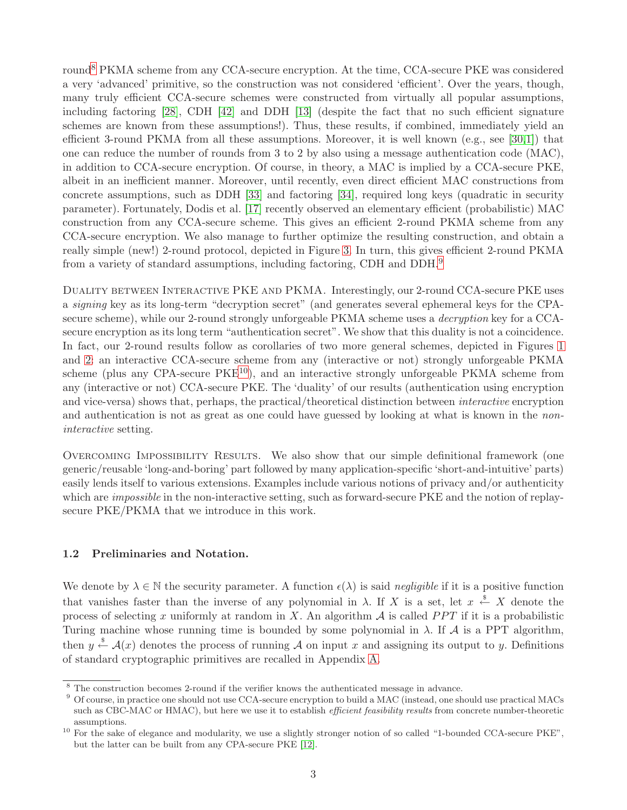round<sup>[8](#page-4-1)</sup> PKMA scheme from any CCA-secure encryption. At the time, CCA-secure PKE was considered a very 'advanced' primitive, so the construction was not considered 'efficient'. Over the years, though, many truly efficient CCA-secure schemes were constructed from virtually all popular assumptions, including factoring [\[28\]](#page-22-23), CDH [\[42\]](#page-22-24) and DDH [\[13\]](#page-21-5) (despite the fact that no such efficient signature schemes are known from these assumptions!). Thus, these results, if combined, immediately yield an efficient 3-round PKMA from all these assumptions. Moreover, it is well known (e.g., see [\[30,](#page-22-25)[1\]](#page-21-6)) that one can reduce the number of rounds from 3 to 2 by also using a message authentication code (MAC), in addition to CCA-secure encryption. Of course, in theory, a MAC is implied by a CCA-secure PKE, albeit in an inefficient manner. Moreover, until recently, even direct efficient MAC constructions from concrete assumptions, such as DDH [\[33\]](#page-22-26) and factoring [\[34\]](#page-22-27), required long keys (quadratic in security parameter). Fortunately, Dodis et al. [\[17\]](#page-22-28) recently observed an elementary efficient (probabilistic) MAC construction from any CCA-secure scheme. This gives an efficient 2-round PKMA scheme from any CCA-secure encryption. We also manage to further optimize the resulting construction, and obtain a really simple (new!) 2-round protocol, depicted in Figure [3.](#page-13-1) In turn, this gives efficient 2-round PKMA from a variety of standard assumptions, including factoring, CDH and DDH.[9](#page-4-2)

DUALITY BETWEEN INTERACTIVE PKE AND PKMA. Interestingly, our 2-round CCA-secure PKE uses a signing key as its long-term "decryption secret" (and generates several ephemeral keys for the CPAsecure scheme), while our 2-round strongly unforgeable PKMA scheme uses a *decryption* key for a CCAsecure encryption as its long term "authentication secret". We show that this duality is not a coincidence. In fact, our 2-round results follow as corollaries of two more general schemes, depicted in Figures [1](#page-9-1) and [2:](#page-12-0) an interactive CCA-secure scheme from any (interactive or not) strongly unforgeable PKMA scheme (plus any CPA-secure  $PKE^{10}$  $PKE^{10}$  $PKE^{10}$ ), and an interactive strongly unforgeable PKMA scheme from any (interactive or not) CCA-secure PKE. The 'duality' of our results (authentication using encryption and vice-versa) shows that, perhaps, the practical/theoretical distinction between interactive encryption and authentication is not as great as one could have guessed by looking at what is known in the noninteractive setting.

Overcoming Impossibility Results. We also show that our simple definitional framework (one generic/reusable 'long-and-boring' part followed by many application-specific 'short-and-intuitive' parts) easily lends itself to various extensions. Examples include various notions of privacy and/or authenticity which are *impossible* in the non-interactive setting, such as forward-secure PKE and the notion of replaysecure PKE/PKMA that we introduce in this work.

# <span id="page-4-0"></span>1.2 Preliminaries and Notation.

We denote by  $\lambda \in \mathbb{N}$  the security parameter. A function  $\epsilon(\lambda)$  is said *negligible* if it is a positive function that vanishes faster than the inverse of any polynomial in  $\lambda$ . If X is a set, let  $x \stackrel{\$}{\leftarrow} X$  denote the process of selecting x uniformly at random in X. An algorithm  $A$  is called PPT if it is a probabilistic Turing machine whose running time is bounded by some polynomial in  $\lambda$ . If  $\mathcal A$  is a PPT algorithm, then  $y \stackrel{\$}{\leftarrow} \mathcal{A}(x)$  denotes the process of running A on input x and assigning its output to y. Definitions of standard cryptographic primitives are recalled in Appendix [A.](#page-22-0)

<span id="page-4-1"></span><sup>8</sup> The construction becomes 2-round if the verifier knows the authenticated message in advance.

<span id="page-4-2"></span><sup>9</sup> Of course, in practice one should not use CCA-secure encryption to build a MAC (instead, one should use practical MACs such as CBC-MAC or HMAC), but here we use it to establish *efficient feasibility results* from concrete number-theoretic assumptions.

<span id="page-4-3"></span><sup>&</sup>lt;sup>10</sup> For the sake of elegance and modularity, we use a slightly stronger notion of so called "1-bounded CCA-secure PKE", but the latter can be built from any CPA-secure PKE [\[12\]](#page-21-0).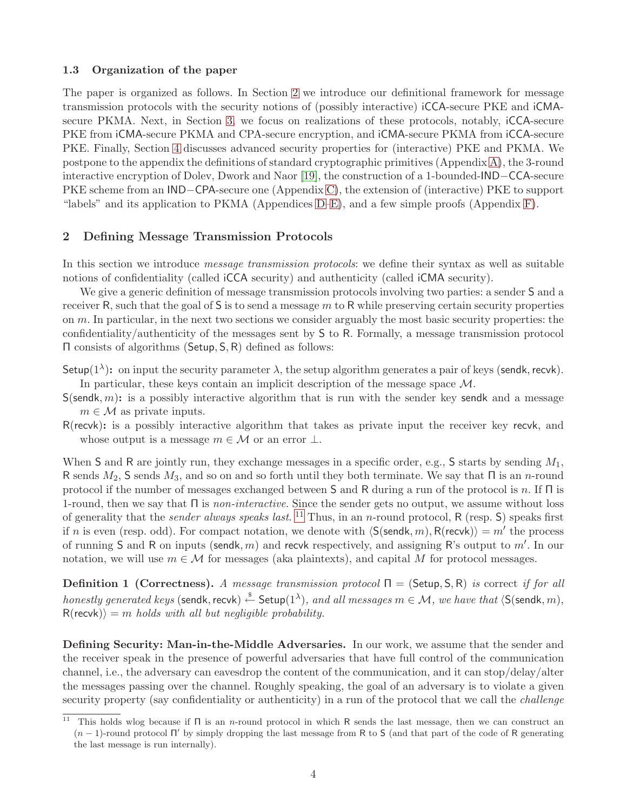#### <span id="page-5-0"></span>1.3 Organization of the paper

The paper is organized as follows. In Section [2](#page-5-1) we introduce our definitional framework for message transmission protocols with the security notions of (possibly interactive) iCCA-secure PKE and iCMAsecure PKMA. Next, in Section [3,](#page-8-1) we focus on realizations of these protocols, notably, iCCA-secure PKE from iCMA-secure PKMA and CPA-secure encryption, and iCMA-secure PKMA from iCCA-secure PKE. Finally, Section [4](#page-14-0) discusses advanced security properties for (interactive) PKE and PKMA. We postpone to the appendix the definitions of standard cryptographic primitives (Appendix [A\)](#page-22-0), the 3-round interactive encryption of Dolev, Dwork and Naor [\[19\]](#page-22-2), the construction of a 1-bounded-IND−CCA-secure PKE scheme from an IND−CPA-secure one (Appendix [C\)](#page-25-0), the extension of (interactive) PKE to support "labels" and its application to PKMA (Appendices [D](#page-25-1)[–E\)](#page-26-0), and a few simple proofs (Appendix [F\)](#page-28-0).

# <span id="page-5-1"></span>2 Defining Message Transmission Protocols

In this section we introduce *message transmission protocols*: we define their syntax as well as suitable notions of confidentiality (called iCCA security) and authenticity (called iCMA security).

We give a generic definition of message transmission protocols involving two parties: a sender S and a receiver R, such that the goal of  $S$  is to send a message m to R while preserving certain security properties on m. In particular, in the next two sections we consider arguably the most basic security properties: the confidentiality/authenticity of the messages sent by S to R. Formally, a message transmission protocol Π consists of algorithms (Setup, S, R) defined as follows:

- Setup( $1^{\lambda}$ ): on input the security parameter  $\lambda$ , the setup algorithm generates a pair of keys (sendk, recvk). In particular, these keys contain an implicit description of the message space M.
- $S(\text{sendk}, m)$ : is a possibly interactive algorithm that is run with the sender key sendk and a message  $m \in \mathcal{M}$  as private inputs.
- R(recvk): is a possibly interactive algorithm that takes as private input the receiver key recvk, and whose output is a message  $m \in \mathcal{M}$  or an error  $\perp$ .

When S and R are jointly run, they exchange messages in a specific order, e.g., S starts by sending  $M_1$ , R sends  $M_2$ , S sends  $M_3$ , and so on and so forth until they both terminate. We say that  $\Pi$  is an *n*-round protocol if the number of messages exchanged between S and R during a run of the protocol is n. If  $\Pi$  is 1-round, then we say that  $\Pi$  is non-interactive. Since the sender gets no output, we assume without loss of generality that the *sender always speaks last*. <sup>[11](#page-5-2)</sup> Thus, in an *n*-round protocol,  $R$  (resp. S) speaks first if n is even (resp. odd). For compact notation, we denote with  $\langle S(\mathsf{sendk}, m), R(\mathsf{recvk}) \rangle = m'$  the process of running S and R on inputs (sendk, m) and recvk respectively, and assigning R's output to  $m'$ . In our notation, we will use  $m \in \mathcal{M}$  for messages (aka plaintexts), and capital M for protocol messages.

**Definition 1 (Correctness).** A message transmission protocol  $\Pi = (Setup, S, R)$  is correct if for all honestly generated keys (sendk, recvk)  $\xleftarrow{\$}$  Setup $(1^\lambda)$ , and all messages  $m\in\mathcal{M},$  we have that  $\langle$ S(sendk,  $m)$ ,  $R(recvk)$  = m holds with all but negligible probability.

Defining Security: Man-in-the-Middle Adversaries. In our work, we assume that the sender and the receiver speak in the presence of powerful adversaries that have full control of the communication channel, i.e., the adversary can eavesdrop the content of the communication, and it can stop/delay/alter the messages passing over the channel. Roughly speaking, the goal of an adversary is to violate a given security property (say confidentiality or authenticity) in a run of the protocol that we call the *challenge* 

<span id="page-5-2"></span><sup>&</sup>lt;sup>11</sup> This holds wlog because if  $\Pi$  is an *n*-round protocol in which R sends the last message, then we can construct an  $(n-1)$ -round protocol Π' by simply dropping the last message from R to S (and that part of the code of R generating the last message is run internally).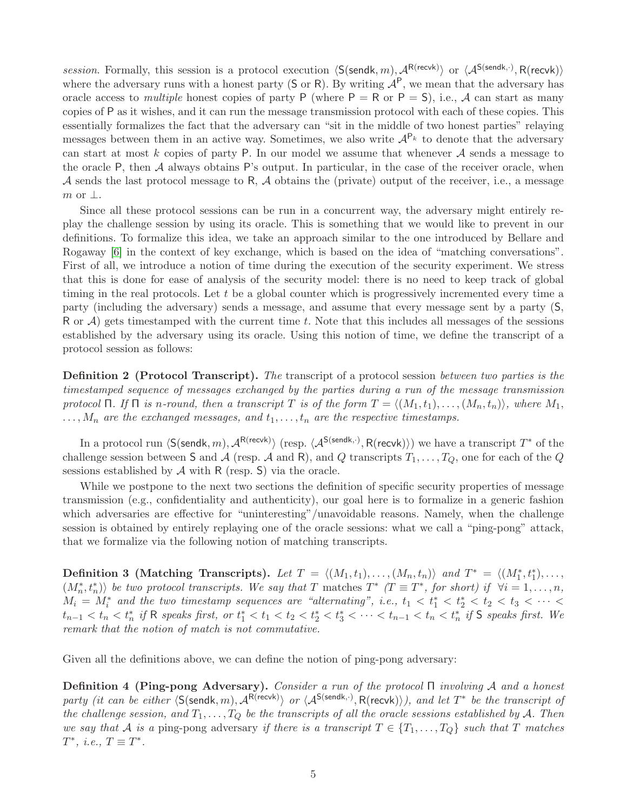session. Formally, this session is a protocol execution  $\langle S(\mathsf{sendk}, m), \mathcal{A}^{\mathsf{R}(\mathsf{recv}}\rangle$  or  $\langle \mathcal{A}^{\mathsf{S}(\mathsf{sendk},\cdot)}, \mathsf{R}(\mathsf{recv})\rangle$ where the adversary runs with a honest party (S or R). By writing  $A^P$ , we mean that the adversary has oracle access to *multiple* honest copies of party P (where  $P = R$  or  $P = S$ ), i.e., A can start as many copies of P as it wishes, and it can run the message transmission protocol with each of these copies. This essentially formalizes the fact that the adversary can "sit in the middle of two honest parties" relaying messages between them in an active way. Sometimes, we also write  $A^{P_k}$  to denote that the adversary can start at most k copies of party P. In our model we assume that whenever  $A$  sends a message to the oracle  $P$ , then  $\mathcal A$  always obtains  $P$ 's output. In particular, in the case of the receiver oracle, when A sends the last protocol message to R, A obtains the (private) output of the receiver, i.e., a message  $m$  or  $\perp$ .

Since all these protocol sessions can be run in a concurrent way, the adversary might entirely replay the challenge session by using its oracle. This is something that we would like to prevent in our definitions. To formalize this idea, we take an approach similar to the one introduced by Bellare and Rogaway [\[6\]](#page-21-7) in the context of key exchange, which is based on the idea of "matching conversations". First of all, we introduce a notion of time during the execution of the security experiment. We stress that this is done for ease of analysis of the security model: there is no need to keep track of global timing in the real protocols. Let t be a global counter which is progressively incremented every time a party (including the adversary) sends a message, and assume that every message sent by a party (S, R or  $\mathcal{A}$ ) gets timestamped with the current time t. Note that this includes all messages of the sessions established by the adversary using its oracle. Using this notion of time, we define the transcript of a protocol session as follows:

Definition 2 (Protocol Transcript). The transcript of a protocol session between two parties is the timestamped sequence of messages exchanged by the parties during a run of the message transmission protocol Π. If Π is n-round, then a transcript T is of the form  $T = \langle (M_1, t_1), \ldots, (M_n, t_n) \rangle$ , where  $M_1$ ,  $\ldots, M_n$  are the exchanged messages, and  $t_1, \ldots, t_n$  are the respective timestamps.

In a protocol run  $\langle S(\mathsf{sendk}, m), \mathcal{A}^{\mathsf{R}(\mathsf{recvk})} \rangle$  (resp.  $\langle \mathcal{A}^{\mathsf{S}(\mathsf{sendk},\cdot)}, \mathsf{R}(\mathsf{recvk}) \rangle$ ) we have a transcript  $T^*$  of the challenge session between S and A (resp. A and R), and Q transcripts  $T_1, \ldots, T_Q$ , one for each of the Q sessions established by  $A$  with R (resp. S) via the oracle.

While we postpone to the next two sections the definition of specific security properties of message transmission (e.g., confidentiality and authenticity), our goal here is to formalize in a generic fashion which adversaries are effective for "uninteresting"/unavoidable reasons. Namely, when the challenge session is obtained by entirely replaying one of the oracle sessions: what we call a "ping-pong" attack, that we formalize via the following notion of matching transcripts.

Definition 3 (Matching Transcripts). Let  $T = \langle (M_1, t_1), \ldots, (M_n, t_n) \rangle$  and  $T^* = \langle (M_1^*, t_1^*), \ldots,$  $(M_n^*, t_n^*)\rangle$  be two protocol transcripts. We say that T matches  $T^*$  ( $T \equiv T^*$ , for short) if  $\forall i = 1, \ldots, n$ ,  $M_i = M_i^*$  and the two timestamp sequences are "alternating", i.e.,  $t_1 < t_1^* < t_2^* < t_2 < t_3 < \cdots$  $t_{n-1} < t_n < t_n^*$  if R speaks first, or  $t_1^* < t_1 < t_2 < t_2^* < t_3^* < \cdots < t_{n-1} < t_n < t_n^*$  if S speaks first. We remark that the notion of match is not commutative.

<span id="page-6-0"></span>Given all the definitions above, we can define the notion of ping-pong adversary:

Definition 4 (Ping-pong Adversary). Consider a run of the protocol Π involving A and a honest party (it can be either  $\langle S(\mathsf{sendk}, m), \mathcal{A}^{\mathsf{R(recvk)}}\rangle$  or  $\langle \mathcal{A}^{\mathsf{S(sendk,.)}}, \mathsf{R(recvk)}\rangle$ ), and let  $T^*$  be the transcript of the challenge session, and  $T_1, \ldots, T_Q$  be the transcripts of all the oracle sessions established by A. Then we say that A is a ping-pong adversary if there is a transcript  $T \in \{T_1, \ldots, T_Q\}$  such that T matches  $T^*, i.e., T \equiv T^*.$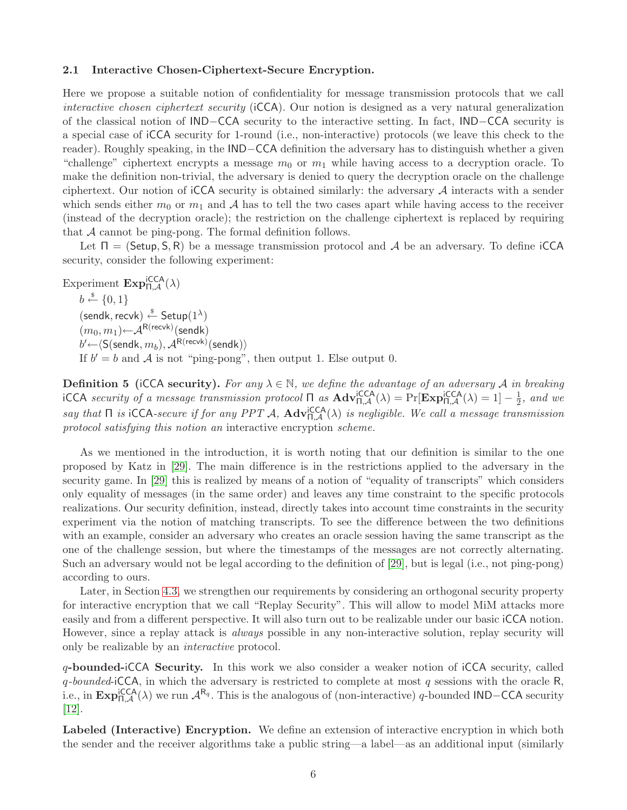#### <span id="page-7-0"></span>2.1 Interactive Chosen-Ciphertext-Secure Encryption.

Here we propose a suitable notion of confidentiality for message transmission protocols that we call interactive chosen ciphertext security (iCCA). Our notion is designed as a very natural generalization of the classical notion of IND−CCA security to the interactive setting. In fact, IND−CCA security is a special case of iCCA security for 1-round (i.e., non-interactive) protocols (we leave this check to the reader). Roughly speaking, in the IND−CCA definition the adversary has to distinguish whether a given "challenge" ciphertext encrypts a message  $m_0$  or  $m_1$  while having access to a decryption oracle. To make the definition non-trivial, the adversary is denied to query the decryption oracle on the challenge ciphertext. Our notion of  $\text{icCA}$  security is obtained similarly: the adversary  $\mathcal A$  interacts with a sender which sends either  $m_0$  or  $m_1$  and A has to tell the two cases apart while having access to the receiver (instead of the decryption oracle); the restriction on the challenge ciphertext is replaced by requiring that A cannot be ping-pong. The formal definition follows.

Let  $\Pi = (Setup, S, R)$  be a message transmission protocol and A be an adversary. To define iCCA security, consider the following experiment:

Experiment  $\text{Exp}_{\Pi,\mathcal{A}}^{\text{iCCA}}(\lambda)$  $b \stackrel{\hspace{0.1em}\mathsf{\scriptscriptstyle\$}}{\leftarrow} \{0,1\}$  $(\textsf{sendk}, \textsf{recvk}) \overset{\$}{\leftarrow} \textsf{Setup}(1^{\lambda})$  $(m_0, m_1)$ ←  $\mathcal{A}^{\mathsf{R}(\mathsf{recv})}$ (sendk)  $b^\prime{\leftarrow}\langle{\sf S}({\sf sendk},m_b),{\cal A}^{{\sf R}{\sf(recvk)}}({\sf sendk})\rangle$ If  $b' = b$  and A is not "ping-pong", then output 1. Else output 0.

<span id="page-7-1"></span>**Definition 5** (iCCA security). For any  $\lambda \in \mathbb{N}$ , we define the advantage of an adversary A in breaking iCCA security of a message transmission protocol  $\Pi$  as  $\text{Adv}_{\Pi,\mathcal{A}}^{\text{icCA}}(\lambda) = \Pr[\text{Exp}_{\Pi,\mathcal{A}}^{\text{icCA}}(\lambda) = 1] - \frac{1}{2}$  $\frac{1}{2}$ , and we say that  $\Pi$  is iCCA-secure if for any PPT A,  $\text{Adv}_{\Pi,\mathcal{A}}^{ICCA}(\lambda)$  is negligible. We call a message transmission protocol satisfying this notion an interactive encryption scheme.

As we mentioned in the introduction, it is worth noting that our definition is similar to the one proposed by Katz in [\[29\]](#page-22-7). The main difference is in the restrictions applied to the adversary in the security game. In [\[29\]](#page-22-7) this is realized by means of a notion of "equality of transcripts" which considers only equality of messages (in the same order) and leaves any time constraint to the specific protocols realizations. Our security definition, instead, directly takes into account time constraints in the security experiment via the notion of matching transcripts. To see the difference between the two definitions with an example, consider an adversary who creates an oracle session having the same transcript as the one of the challenge session, but where the timestamps of the messages are not correctly alternating. Such an adversary would not be legal according to the definition of [\[29\]](#page-22-7), but is legal (i.e., not ping-pong) according to ours.

Later, in Section [4.3,](#page-19-0) we strengthen our requirements by considering an orthogonal security property for interactive encryption that we call "Replay Security". This will allow to model MiM attacks more easily and from a different perspective. It will also turn out to be realizable under our basic iCCA notion. However, since a replay attack is *always* possible in any non-interactive solution, replay security will only be realizable by an interactive protocol.

q-bounded-iCCA Security. In this work we also consider a weaker notion of iCCA security, called  $q$ -bounded-iCCA, in which the adversary is restricted to complete at most q sessions with the oracle R, i.e., in  $\text{Exp}_{\Pi,\mathcal{A}}^{\text{ICCA}}(\lambda)$  we run  $\mathcal{A}^{\mathsf{R}_q}$ . This is the analogous of (non-interactive) q-bounded IND−CCA security [\[12\]](#page-21-0).

Labeled (Interactive) Encryption. We define an extension of interactive encryption in which both the sender and the receiver algorithms take a public string—a label—as an additional input (similarly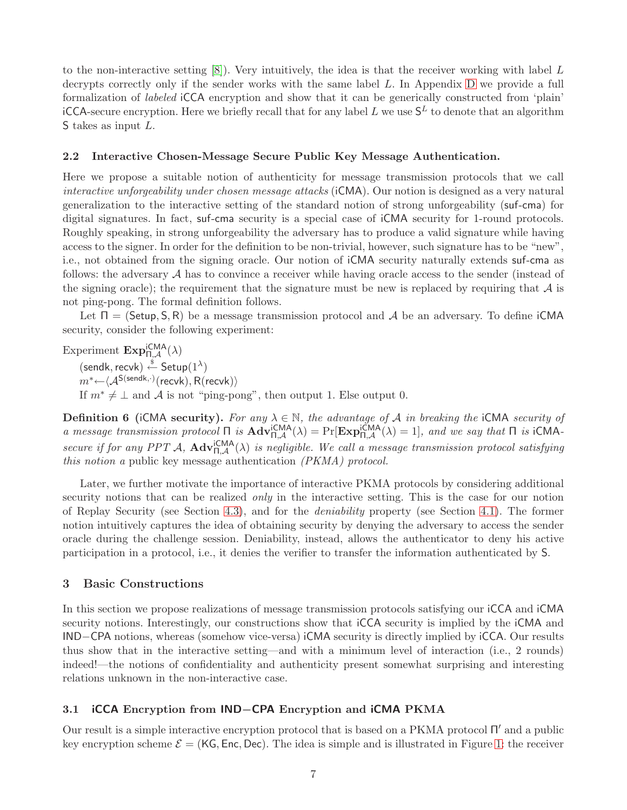to the non-interactive setting  $[8]$ . Very intuitively, the idea is that the receiver working with label L decrypts correctly only if the sender works with the same label L. In Appendix [D](#page-25-1) we provide a full formalization of labeled iCCA encryption and show that it can be generically constructed from 'plain' iCCA-secure encryption. Here we briefly recall that for any label  $L$  we use  $\mathsf{S}^L$  to denote that an algorithm S takes as input L.

## <span id="page-8-0"></span>2.2 Interactive Chosen-Message Secure Public Key Message Authentication.

Here we propose a suitable notion of authenticity for message transmission protocols that we call interactive unforgeability under chosen message attacks (iCMA). Our notion is designed as a very natural generalization to the interactive setting of the standard notion of strong unforgeability (suf-cma) for digital signatures. In fact, suf-cma security is a special case of iCMA security for 1-round protocols. Roughly speaking, in strong unforgeability the adversary has to produce a valid signature while having access to the signer. In order for the definition to be non-trivial, however, such signature has to be "new", i.e., not obtained from the signing oracle. Our notion of iCMA security naturally extends suf-cma as follows: the adversary A has to convince a receiver while having oracle access to the sender (instead of the signing oracle); the requirement that the signature must be new is replaced by requiring that  $\mathcal A$  is not ping-pong. The formal definition follows.

Let  $\Pi = (Setup, S, R)$  be a message transmission protocol and A be an adversary. To define iCMA security, consider the following experiment:

Experiment  $\text{Exp}_{\Pi,\mathcal{A}}^{\text{iCMA}}(\lambda)$ 

 $(\textsf{sendk}, \textsf{recvk}) \overset{\$}{\leftarrow} \textsf{Setup}(1^{\lambda})$ 

 $m^* {\leftarrow} \langle {\cal A}^{\mathsf{S}(\mathsf{sendk},\cdot)}(\mathsf{recvk}), \mathsf{R}(\mathsf{recvk}) \rangle$ 

If  $m^* \neq \perp$  and A is not "ping-pong", then output 1. Else output 0.

<span id="page-8-3"></span>**Definition 6** (iCMA security). For any  $\lambda \in \mathbb{N}$ , the advantage of A in breaking the iCMA security of a message transmission protocol  $\Pi$  is  $\text{Adv}_{\Pi,\mathcal{A}}^{iCMA}(\lambda) = \Pr[\text{Exp}_{\Pi,\mathcal{A}}^{iCMA}(\lambda) = 1]$ , and we say that  $\Pi$  is  $iCMA$ secure if for any PPT A,  $\text{Adv}_{\Pi,\mathcal{A}}^{\text{ICMA}}(\lambda)$  is negligible. We call a message transmission protocol satisfying this notion a public key message authentication (PKMA) protocol.

Later, we further motivate the importance of interactive PKMA protocols by considering additional security notions that can be realized *only* in the interactive setting. This is the case for our notion of Replay Security (see Section [4.3\)](#page-17-0), and for the deniability property (see Section [4.1\)](#page-15-0). The former notion intuitively captures the idea of obtaining security by denying the adversary to access the sender oracle during the challenge session. Deniability, instead, allows the authenticator to deny his active participation in a protocol, i.e., it denies the verifier to transfer the information authenticated by S.

# <span id="page-8-1"></span>3 Basic Constructions

In this section we propose realizations of message transmission protocols satisfying our iCCA and iCMA security notions. Interestingly, our constructions show that iCCA security is implied by the iCMA and IND−CPA notions, whereas (somehow vice-versa) iCMA security is directly implied by iCCA. Our results thus show that in the interactive setting—and with a minimum level of interaction (i.e., 2 rounds) indeed!—the notions of confidentiality and authenticity present somewhat surprising and interesting relations unknown in the non-interactive case.

# <span id="page-8-2"></span>3.1 iCCA Encryption from IND−CPA Encryption and iCMA PKMA

Our result is a simple interactive encryption protocol that is based on a PKMA protocol Π ′ and a public key encryption scheme  $\mathcal{E} = (K\mathsf{G}, \mathsf{Enc}, \mathsf{Dec})$ . The idea is simple and is illustrated in Figure [1:](#page-9-1) the receiver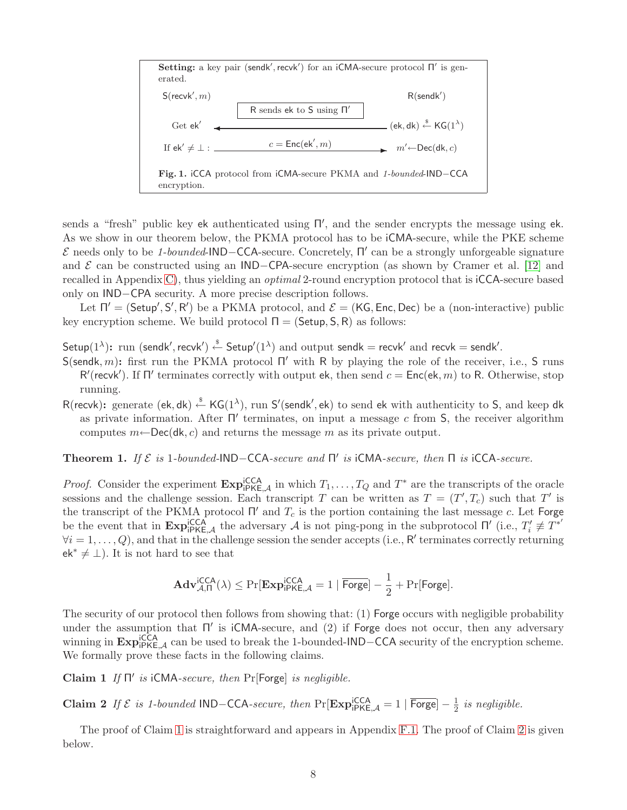

<span id="page-9-1"></span>sends a "fresh" public key ek authenticated using  $\Pi'$ , and the sender encrypts the message using ek. As we show in our theorem below, the PKMA protocol has to be iCMA-secure, while the PKE scheme  $\mathcal E$  needs only to be 1-bounded-IND-CCA-secure. Concretely, Π' can be a strongly unforgeable signature and  $\mathcal E$  can be constructed using an IND−CPA-secure encryption (as shown by Cramer et al. [\[12\]](#page-21-0) and recalled in Appendix [C\)](#page-25-0), thus yielding an *optimal* 2-round encryption protocol that is iCCA-secure based only on IND−CPA security. A more precise description follows.

Let  $\Pi' = (\mathsf{Setup}', \mathsf{S}', \mathsf{R}')$  be a PKMA protocol, and  $\mathcal{E} = (\mathsf{KG}, \mathsf{Enc}, \mathsf{Dec})$  be a (non-interactive) public key encryption scheme. We build protocol  $\Pi = (Setup, S, R)$  as follows:

Setup(1<sup> $\lambda$ </sup>): run (sendk', recvk')  $\stackrel{\$}{\leftarrow}$  Setup'(1 $\stackrel{\lambda}{\leftarrow}$ ) and output sendk = recvk' and recvk = sendk'.

- S(sendk, m): first run the PKMA protocol  $\Pi'$  with R by playing the role of the receiver, i.e., S runs R'(recvk'). If Π' terminates correctly with output ek, then send  $c = \text{Enc}(\text{ek}, m)$  to R. Otherwise, stop running.
- R(recvk): generate (ek, dk)  $\xleftarrow{\$}$  KG(1<sup> $\lambda$ </sup>), run S'(sendk', ek) to send ek with authenticity to S, and keep dk as private information. After  $\Pi'$  terminates, on input a message c from S, the receiver algorithm computes  $m \leftarrow \text{Dec}(\text{dk}, c)$  and returns the message m as its private output.

<span id="page-9-3"></span>**Theorem 1.** If  $\mathcal{E}$  is 1-bounded-IND-CCA-secure and  $\Pi'$  is iCMA-secure, then  $\Pi$  is iCCA-secure.

*Proof.* Consider the experiment  $\mathbf{Exp}_{i\in K, \mathcal{A}}^{i\in C(A)}$  in which  $T_1, \ldots, T_Q$  and  $T^*$  are the transcripts of the oracle sessions and the challenge session. Each transcript T can be written as  $T = (T', T_c)$  such that T' is the transcript of the PKMA protocol  $\Pi'$  and  $T_c$  is the portion containing the last message c. Let Forge be the event that in  $\text{Exp}_{i\text{PKE},\mathcal{A}}^{i\text{CCA}}$  the adversary  $\mathcal A$  is not ping-pong in the subprotocol  $\Pi'$  (i.e.,  $T_i'$  $T_i \not\equiv T^{*'}$  $\forall i = 1, \ldots, Q$ , and that in the challenge session the sender accepts (i.e., R' terminates correctly returning  $ek^* \neq \perp$ ). It is not hard to see that

<span id="page-9-0"></span>
$$
\mathbf{Adv}_{\mathcal{A},\Pi}^{\mathsf{ICCA}}(\lambda) \leq \Pr[\mathbf{Exp}_{\mathsf{iPKE},\mathcal{A}}^{\mathsf{iCCA}} = 1 \mid \overline{\mathsf{Forge}}] - \frac{1}{2} + \Pr[\mathsf{Forge}].
$$

The security of our protocol then follows from showing that: (1) Forge occurs with negligible probability under the assumption that Π' is iCMA-secure, and (2) if Forge does not occur, then any adversary winning in  $\text{Exp}_{i\text{PKE},\mathcal{A}}^{i\text{CCA}}$  can be used to break the 1-bounded-IND−CCA security of the encryption scheme. We formally prove these facts in the following claims.

Claim 1 If  $\Pi'$  is iCMA-secure, then Pr[Forge] is negligible.

<span id="page-9-2"></span>Claim 2 If  $\mathcal E$  is 1-bounded IND–CCA-secure, then Pr[Exp¦<sub>PKE, $\mathcal A$ </sub> = 1 |  $\overline{\text{Forge}}$ ] −  $\frac{1}{2}$  $rac{1}{2}$  is negligible.

The proof of Claim [1](#page-9-0) is straightforward and appears in Appendix [F.1.](#page-28-1) The proof of Claim [2](#page-9-2) is given below.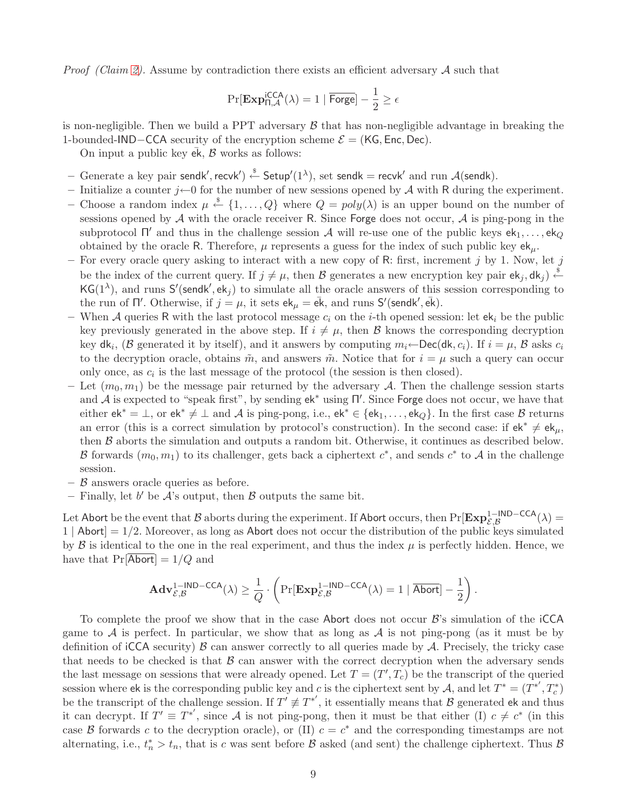*Proof (Claim [2\)](#page-9-2).* Assume by contradiction there exists an efficient adversary A such that

$$
\Pr[\mathbf{Exp}_{\Pi,\mathcal{A}}^{\mathsf{ICCA}}(\lambda) = 1 \mid \overline{\mathsf{Forge}}] - \frac{1}{2} \ge \epsilon
$$

is non-negligible. Then we build a PPT adversary  $\beta$  that has non-negligible advantage in breaking the 1-bounded-IND−CCA security of the encryption scheme  $\mathcal{E} = (KG, Enc, Dec)$ .

On input a public key  $ek$ ,  $\beta$  works as follows:

- $-$  Generate a key pair sendk', recvk')  $\stackrel{\hspace{0.1em}\mathsf{\scriptscriptstyle\$}}{\leftarrow}$  Setup'(1^^), set sendk = recvk' and run  $\mathcal{A}$ (sendk).
- Initialize a counter  $j\leftarrow 0$  for the number of new sessions opened by A with R during the experiment. – Choose a random index  $\mu \stackrel{\$}{\leftarrow} \{1,\ldots,Q\}$  where  $Q = poly(\lambda)$  is an upper bound on the number of sessions opened by  $A$  with the oracle receiver R. Since Forge does not occur,  $A$  is ping-pong in the subprotocol  $\Pi'$  and thus in the challenge session A will re-use one of the public keys  $ek_1, \ldots, ek_Q$ obtained by the oracle R. Therefore,  $\mu$  represents a guess for the index of such public key  $ek_{\mu}$ .
- For every oracle query asking to interact with a new copy of R: first, increment j by 1. Now, let j be the index of the current query. If  $j \neq \mu$ , then B generates a new encryption key pair  $ek_j, dk_j$   $\stackrel{\$}{\leftarrow}$ KG(1<sup> $\lambda$ </sup>), and runs S'(sendk', ek<sub>j</sub>) to simulate all the oracle answers of this session corresponding to the run of  $\Pi'$ . Otherwise, if  $j = \mu$ , it sets  $ek_{\mu} = \bar{ek}$ , and runs  $S'$ (sendk',  $\bar{ek}$ ).
- When A queries R with the last protocol message  $c_i$  on the *i*-th opened session: let  $ek_i$  be the public key previously generated in the above step. If  $i \neq \mu$ , then B knows the corresponding decryption key dk<sub>i</sub>, (B generated it by itself), and it answers by computing  $m_i \leftarrow \textsf{Dec}(\textsf{dk}, c_i)$ . If  $i = \mu$ , B asks  $c_i$ to the decryption oracle, obtains  $\tilde{m}$ , and answers  $\tilde{m}$ . Notice that for  $i = \mu$  such a query can occur only once, as  $c_i$  is the last message of the protocol (the session is then closed).
- Let  $(m_0, m_1)$  be the message pair returned by the adversary A. Then the challenge session starts and  $\mathcal A$  is expected to "speak first", by sending  $ek^*$  using  $\Pi'$ . Since Forge does not occur, we have that either  $ek^* = \bot$ , or  $ek^* \neq \bot$  and A is ping-pong, i.e.,  $ek^* \in \{ek_1, \ldots, ek_Q\}$ . In the first case B returns an error (this is a correct simulation by protocol's construction). In the second case: if  $ek^* \neq ek_{\mu}$ , then B aborts the simulation and outputs a random bit. Otherwise, it continues as described below. B forwards  $(m_0, m_1)$  to its challenger, gets back a ciphertext  $c^*$ , and sends  $c^*$  to A in the challenge session.
- $-$  B answers oracle queries as before.
- Finally, let b' be  $\mathcal{A}$ 's output, then  $\mathcal B$  outputs the same bit.

Let Abort be the event that  $\mathcal B$  aborts during the experiment. If Abort occurs, then  $\Pr[\mathbf{Exp}^{1-\mathsf{IND-CCA}}_{\mathcal E,\mathcal B}(\lambda)=0]$  $1 |$  Abort $= 1/2$ . Moreover, as long as Abort does not occur the distribution of the public keys simulated by  $\beta$  is identical to the one in the real experiment, and thus the index  $\mu$  is perfectly hidden. Hence, we have that  $Pr[Abort] = 1/Q$  and

$$
\mathbf{Adv}_{\mathcal{E},\mathcal{B}}^{1-\mathsf{IND}-\mathsf{CCA}}(\lambda) \geq \frac{1}{Q} \cdot \left( \Pr[\mathbf{Exp}_{\mathcal{E},\mathcal{B}}^{1-\mathsf{IND}-\mathsf{CCA}}(\lambda) = 1 \mid \overline{\mathsf{Abort}}] - \frac{1}{2} \right).
$$

To complete the proof we show that in the case Abort does not occur  $\mathcal{B}$ 's simulation of the iCCA game to  $A$  is perfect. In particular, we show that as long as  $A$  is not ping-pong (as it must be by definition of iCCA security)  $\beta$  can answer correctly to all queries made by  $\mathcal A$ . Precisely, the tricky case that needs to be checked is that  $\beta$  can answer with the correct decryption when the adversary sends the last message on sessions that were already opened. Let  $T = (T', T_c)$  be the transcript of the queried session where ek is the corresponding public key and c is the ciphertext sent by A, and let  $T^* = (T^{*'}, T_c^*)$ be the transcript of the challenge session. If  $T' \neq T^{*'}$ , it essentially means that  $\beta$  generated ek and thus it can decrypt. If  $T' \equiv T^{*'}$ , since A is not ping-pong, then it must be that either (I)  $c \neq c^*$  (in this case B forwards c to the decryption oracle), or (II)  $c = c^*$  and the corresponding timestamps are not alternating, i.e.,  $t_n^* > t_n$ , that is c was sent before  $\beta$  asked (and sent) the challenge ciphertext. Thus  $\beta$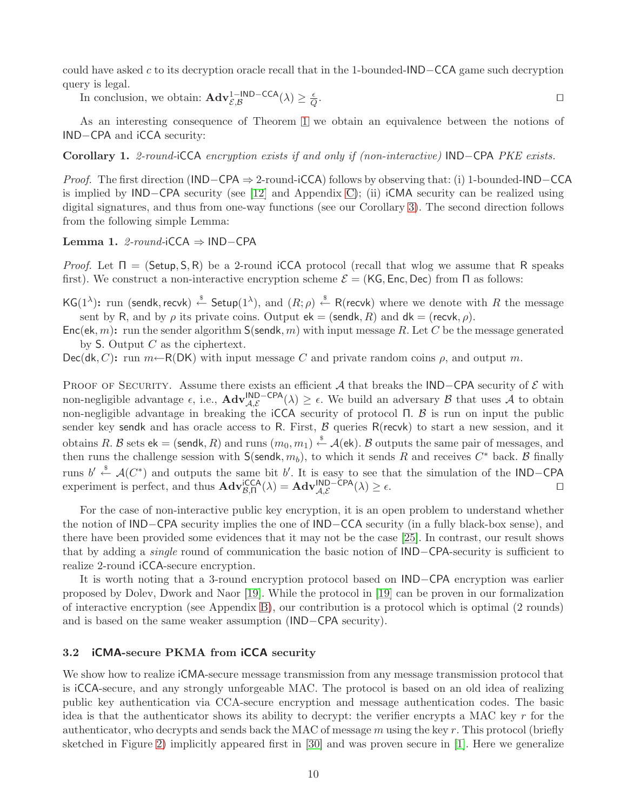could have asked c to its decryption oracle recall that in the 1-bounded-IND−CCA game such decryption query is legal.

In conclusion, we obtain:  $\mathbf{Adv}_{\mathcal{E},\mathcal{B}}^{\mathbb{1}-\mathsf{IND-CCA}}(\lambda) \geq \frac{\epsilon}{Q}$ Q . ⊓⊔

As an interesting consequence of Theorem [1](#page-9-3) we obtain an equivalence between the notions of IND−CPA and iCCA security:

Corollary 1. 2-round-iCCA encryption exists if and only if (non-interactive) IND−CPA PKE exists.

Proof. The first direction (IND−CPA ⇒ 2-round-iCCA) follows by observing that: (i) 1-bounded-IND−CCA is implied by IND−CPA security (see [\[12\]](#page-21-0) and Appendix [C\)](#page-25-0); (ii) iCMA security can be realized using digital signatures, and thus from one-way functions (see our Corollary [3\)](#page-14-2). The second direction follows from the following simple Lemma:

Lemma 1. 2-round-iCCA ⇒ IND−CPA

*Proof.* Let  $\Pi = (\mathsf{Setup}, \mathsf{S}, \mathsf{R})$  be a 2-round iCCA protocol (recall that wlog we assume that R speaks first). We construct a non-interactive encryption scheme  $\mathcal{E} = (KG, Enc, Dec)$  from  $\Pi$  as follows:

 $\mathsf{KG}(1^\lambda)$ : run (sendk, recvk)  $\stackrel{\hspace{0.1em}\mathsf{\scriptscriptstyle\$}}{\leftarrow}$  Setup $(1^\lambda)$ , and  $(R;\rho)\stackrel{\hspace{0.1em}\mathsf{\scriptscriptstyle\$}}{\leftarrow}$  R(recvk) where we denote with  $R$  the message sent by R, and by  $\rho$  its private coins. Output  $ek = (sendk, R)$  and  $dk = (recvk, \rho)$ .

 $Enc(\mathsf{ek}, m)$ : run the sender algorithm  $S(\mathsf{sendk}, m)$  with input message R. Let C be the message generated by S. Output  $C$  as the ciphertext.

 $Dec(dk, C)$ : run  $m \leftarrow R(DK)$  with input message C and private random coins  $\rho$ , and output m.

PROOF OF SECURITY. Assume there exists an efficient A that breaks the IND−CPA security of  $\mathcal E$  with non-negligible advantage  $\epsilon$ , i.e.,  $\mathbf{Adv}_{\mathcal{A},\mathcal{E}}^{\mathsf{IND}-\mathsf{CPA}}(\lambda) \geq \epsilon$ . We build an adversary  $\mathcal B$  that uses  $\mathcal A$  to obtain non-negligible advantage in breaking the iCCA security of protocol Π.  $\beta$  is run on input the public sender key sendk and has oracle access to R. First,  $\beta$  queries R(recvk) to start a new session, and it obtains R. B sets  $\mathsf{ek} = (\mathsf{sendk}, R)$  and runs  $(m_0, m_1) \overset{\hspace{0.1em}\mathsf{\scriptscriptstyle\$}}{\leftarrow} \mathcal{A}(\mathsf{ek}).$  B outputs the same pair of messages, and then runs the challenge session with  $S(\text{sendk}, m_b)$ , to which it sends R and receives  $C^*$  back. B finally runs  $b' \stackrel{\$}{\leftarrow} \mathcal{A}(C^*)$  and outputs the same bit  $b'$ . It is easy to see that the simulation of the IND-CPA experiment is perfect, and thus  $\mathbf{Adv}_{\beta,\Pi}^{ICCA}(\lambda) = \mathbf{Adv}_{\mathcal{A},\mathcal{E}}^{IND-CPA}(\lambda) \geq \epsilon$ .

For the case of non-interactive public key encryption, it is an open problem to understand whether the notion of IND−CPA security implies the one of IND−CCA security (in a fully black-box sense), and there have been provided some evidences that it may not be the case [\[25\]](#page-22-13). In contrast, our result shows that by adding a single round of communication the basic notion of IND−CPA-security is sufficient to realize 2-round iCCA-secure encryption.

It is worth noting that a 3-round encryption protocol based on IND−CPA encryption was earlier proposed by Dolev, Dwork and Naor [\[19\]](#page-22-2). While the protocol in [\[19\]](#page-22-2) can be proven in our formalization of interactive encryption (see Appendix [B\)](#page-24-1), our contribution is a protocol which is optimal (2 rounds) and is based on the same weaker assumption (IND−CPA security).

# <span id="page-11-0"></span>3.2 iCMA-secure PKMA from iCCA security

We show how to realize  $\mathsf{ICMA}\text{-} \mathsf{secure}$  message transmission from any message transmission protocol that is iCCA-secure, and any strongly unforgeable MAC. The protocol is based on an old idea of realizing public key authentication via CCA-secure encryption and message authentication codes. The basic idea is that the authenticator shows its ability to decrypt: the verifier encrypts a MAC key  $r$  for the authenticator, who decrypts and sends back the MAC of message  $m$  using the key  $r$ . This protocol (briefly sketched in Figure [2\)](#page-12-0) implicitly appeared first in [\[30\]](#page-22-25) and was proven secure in [\[1\]](#page-21-6). Here we generalize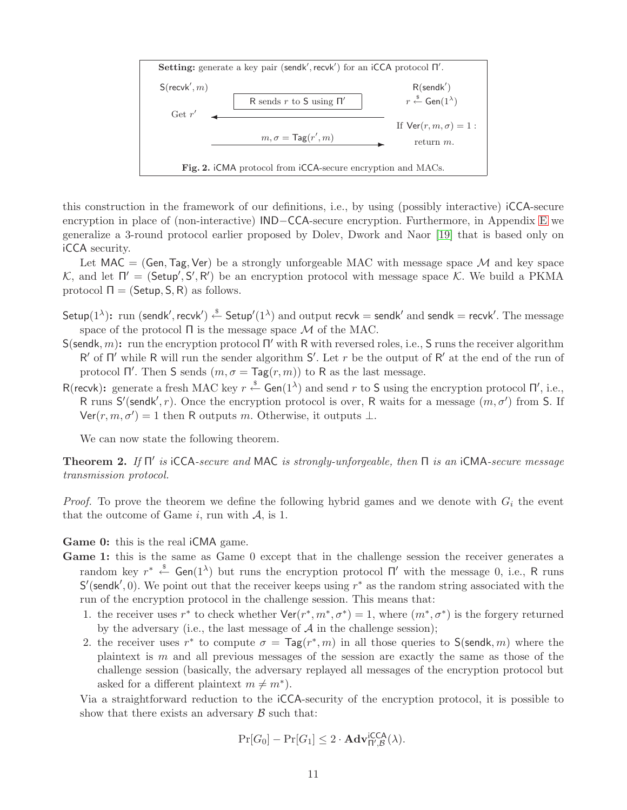

<span id="page-12-0"></span>this construction in the framework of our definitions, i.e., by using (possibly interactive) iCCA-secure encryption in place of (non-interactive) IND−CCA-secure encryption. Furthermore, in Appendix [E](#page-26-0) we generalize a 3-round protocol earlier proposed by Dolev, Dwork and Naor [\[19\]](#page-22-2) that is based only on iCCA security.

Let MAC = (Gen, Tag, Ver) be a strongly unforgeable MAC with message space  $\mathcal{M}$  and key space K, and let  $\Pi' = (\mathsf{Setup}', \mathsf{S}', \mathsf{R}')$  be an encryption protocol with message space K. We build a PKMA protocol  $\Pi = (Setup, S, R)$  as follows.

- Setup(1<sup> $\lambda$ </sup>): run (sendk', recvk')  $\stackrel{\hspace{0.1em}\mathsf{\scriptscriptstyle\$}}{\leftarrow}$  Setup'(1 $\lambda$ ) and output recvk = sendk' and sendk = recvk'. The message space of the protocol  $\Pi$  is the message space  $\mathcal M$  of the MAC.
- S(sendk, m): run the encryption protocol  $\Pi'$  with R with reversed roles, i.e., S runs the receiver algorithm R' of  $\Pi'$  while R will run the sender algorithm S'. Let r be the output of R' at the end of the run of protocol  $\Pi'$ . Then S sends  $(m, \sigma = \text{Tag}(r, m))$  to R as the last message.
- R(recvk): generate a fresh MAC key  $r \stackrel{\$}{\leftarrow}$  Gen(1<sup> $\lambda$ </sup>) and send r to S using the encryption protocol  $\Pi'$ , i.e., R runs S'(sendk', r). Once the encryption protocol is over, R waits for a message  $(m, \sigma')$  from S. If Ver $(r, m, \sigma') = 1$  then R outputs m. Otherwise, it outputs  $\perp$ .

<span id="page-12-1"></span>We can now state the following theorem.

**Theorem 2.** If  $\Pi'$  is iCCA-secure and MAC is strongly-unforgeable, then  $\Pi$  is an iCMA-secure message transmission protocol.

*Proof.* To prove the theorem we define the following hybrid games and we denote with  $G_i$  the event that the outcome of Game i, run with  $A$ , is 1.

Game 0: this is the real iCMA game.

- Game 1: this is the same as Game 0 except that in the challenge session the receiver generates a random key  $r^* \stackrel{\$}{\leftarrow}$  Gen(1<sup> $\lambda$ </sup>) but runs the encryption protocol  $\Pi'$  with the message 0, i.e., R runs S'(sendk', 0). We point out that the receiver keeps using  $r^*$  as the random string associated with the run of the encryption protocol in the challenge session. This means that:
	- 1. the receiver uses r<sup>\*</sup> to check whether  $\text{Ver}(r^*, m^*, \sigma^*) = 1$ , where  $(m^*, \sigma^*)$  is the forgery returned by the adversary (i.e., the last message of  $A$  in the challenge session);
	- 2. the receiver uses  $r^*$  to compute  $\sigma = \text{Tag}(r^*, m)$  in all those queries to  $\text{S}(\text{sendk}, m)$  where the plaintext is  $m$  and all previous messages of the session are exactly the same as those of the challenge session (basically, the adversary replayed all messages of the encryption protocol but asked for a different plaintext  $m \neq m^*$ ).

Via a straightforward reduction to the iCCA-security of the encryption protocol, it is possible to show that there exists an adversary  $\beta$  such that:

$$
\Pr[G_0] - \Pr[G_1] \le 2 \cdot \mathbf{Adv}_{\Pi', \mathcal{B}}^{\mathsf{iCCA}}(\lambda).
$$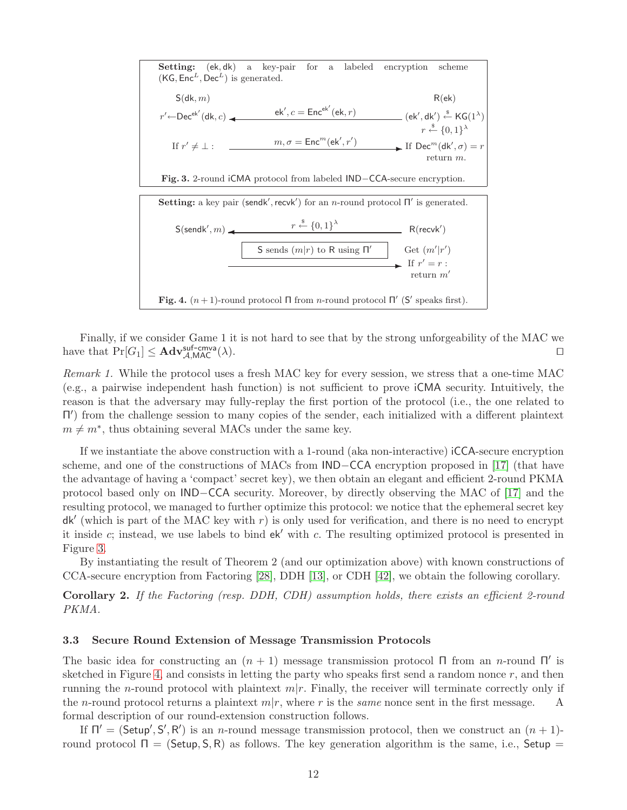<span id="page-13-1"></span>

<span id="page-13-2"></span>Finally, if we consider Game 1 it is not hard to see that by the strong unforgeability of the MAC we have that  $Pr[G_1] \leq \mathbf{Adv}_{\mathcal{A},\mathsf{MAC}}^{\text{suf-cmva}}(\lambda)$ . □

Remark 1. While the protocol uses a fresh MAC key for every session, we stress that a one-time MAC (e.g., a pairwise independent hash function) is not sufficient to prove iCMA security. Intuitively, the reason is that the adversary may fully-replay the first portion of the protocol (i.e., the one related to Π ′ ) from the challenge session to many copies of the sender, each initialized with a different plaintext  $m \neq m^*$ , thus obtaining several MACs under the same key.

If we instantiate the above construction with a 1-round (aka non-interactive) iCCA-secure encryption scheme, and one of the constructions of MACs from **IND**–CCA encryption proposed in [\[17\]](#page-22-28) (that have the advantage of having a 'compact' secret key), we then obtain an elegant and efficient 2-round PKMA protocol based only on IND−CCA security. Moreover, by directly observing the MAC of [\[17\]](#page-22-28) and the resulting protocol, we managed to further optimize this protocol: we notice that the ephemeral secret key  $dk'$  (which is part of the MAC key with r) is only used for verification, and there is no need to encrypt it inside c; instead, we use labels to bind ek′ with c. The resulting optimized protocol is presented in Figure [3.](#page-13-1)

By instantiating the result of Theorem 2 (and our optimization above) with known constructions of CCA-secure encryption from Factoring [\[28\]](#page-22-23), DDH [\[13\]](#page-21-5), or CDH [\[42\]](#page-22-24), we obtain the following corollary.

Corollary 2. If the Factoring (resp. DDH, CDH) assumption holds, there exists an efficient 2-round PKMA.

#### <span id="page-13-0"></span>3.3 Secure Round Extension of Message Transmission Protocols

The basic idea for constructing an  $(n + 1)$  message transmission protocol  $\Pi$  from an *n*-round  $\Pi'$  is sketched in Figure [4,](#page-13-2) and consists in letting the party who speaks first send a random nonce  $r$ , and then running the *n*-round protocol with plaintext  $m|r$ . Finally, the receiver will terminate correctly only if the *n*-round protocol returns a plaintext  $m|r$ , where r is the *same* nonce sent in the first message. A formal description of our round-extension construction follows.

If  $\Pi' = (\tilde{\mathsf{Setup}}', \mathsf{S}', \mathsf{R}')$  is an *n*-round message transmission protocol, then we construct an  $(n+1)$ round protocol  $Π = (Setup, S, R)$  as follows. The key generation algorithm is the same, i.e., Setup =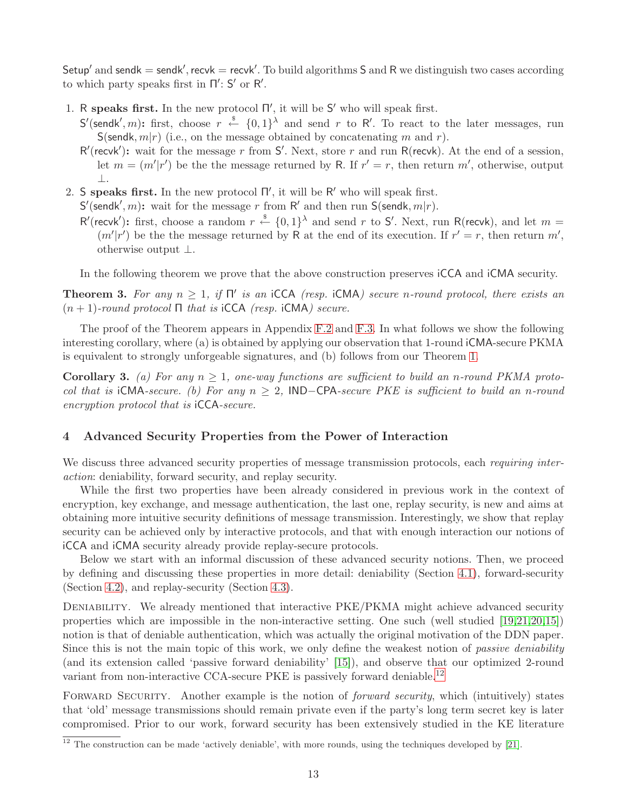Setup' and sendk  $=$  sendk', recvk  $=$  recvk'. To build algorithms S and R we distinguish two cases according to which party speaks first in  $\Pi'$ : S' or R'.

- 1. R speaks first. In the new protocol  $\Pi'$ , it will be  $S'$  who will speak first.
	- S'(sendk', m): first, choose  $r \stackrel{\$}{\leftarrow} \{0,1\}^{\lambda}$  and send r to R'. To react to the later messages, run S(sendk,  $m(r)$  (i.e., on the message obtained by concatenating m and r).
	- $R'($ recvk'): wait for the message r from S'. Next, store r and run R(recvk). At the end of a session, let  $m = (m'|r')$  be the the message returned by R. If  $r' = r$ , then return m', otherwise, output ⊥.
- 2. S speaks first. In the new protocol  $\Pi'$ , it will be  $R'$  who will speak first.
- $S'$ (sendk', m): wait for the message r from R' and then run  $S$ (sendk, m|r).
	- R'(recvk'): first, choose a random  $r \stackrel{\$}{\leftarrow} \{0,1\}^{\lambda}$  and send r to S'. Next, run R(recvk), and let  $m =$  $(m'|r')$  be the the message returned by R at the end of its execution. If  $r' = r$ , then return m', otherwise output ⊥.

<span id="page-14-2"></span><span id="page-14-1"></span>In the following theorem we prove that the above construction preserves iCCA and iCMA security.

**Theorem 3.** For any  $n \geq 1$ , if  $\Pi'$  is an iCCA (resp. iCMA) secure n-round protocol, there exists an  $(n + 1)$ -round protocol Π that is iCCA (resp. iCMA) secure.

The proof of the Theorem appears in Appendix [F.2](#page-28-2) and [F.3.](#page-29-0) In what follows we show the following interesting corollary, where (a) is obtained by applying our observation that 1-round iCMA-secure PKMA is equivalent to strongly unforgeable signatures, and (b) follows from our Theorem [1.](#page-9-3)

**Corollary 3.** (a) For any  $n \geq 1$ , one-way functions are sufficient to build an n-round PKMA protocol that is iCMA-secure. (b) For any  $n \geq 2$ , IND-CPA-secure PKE is sufficient to build an n-round encryption protocol that is iCCA-secure.

#### <span id="page-14-0"></span>4 Advanced Security Properties from the Power of Interaction

We discuss three advanced security properties of message transmission protocols, each requiring interaction: deniability, forward security, and replay security.

While the first two properties have been already considered in previous work in the context of encryption, key exchange, and message authentication, the last one, replay security, is new and aims at obtaining more intuitive security definitions of message transmission. Interestingly, we show that replay security can be achieved only by interactive protocols, and that with enough interaction our notions of iCCA and iCMA security already provide replay-secure protocols.

Below we start with an informal discussion of these advanced security notions. Then, we proceed by defining and discussing these properties in more detail: deniability (Section [4.1\)](#page-15-0), forward-security (Section [4.2\)](#page-16-0), and replay-security (Section [4.3\)](#page-17-0).

DENIABILITY. We already mentioned that interactive PKE/PKMA might achieve advanced security properties which are impossible in the non-interactive setting. One such (well studied [\[19,](#page-22-2)[21,](#page-22-3)[20,](#page-22-4)[15\]](#page-22-5)) notion is that of deniable authentication, which was actually the original motivation of the DDN paper. Since this is not the main topic of this work, we only define the weakest notion of *passive deniability* (and its extension called 'passive forward deniability' [\[15\]](#page-22-5)), and observe that our optimized 2-round variant from non-interactive CCA-secure PKE is passively forward deniable.<sup>[12](#page-14-3)</sup>

FORWARD SECURITY. Another example is the notion of *forward security*, which (intuitively) states that 'old' message transmissions should remain private even if the party's long term secret key is later compromised. Prior to our work, forward security has been extensively studied in the KE literature

<span id="page-14-3"></span> $12$  The construction can be made 'actively deniable', with more rounds, using the techniques developed by [\[21\]](#page-22-3).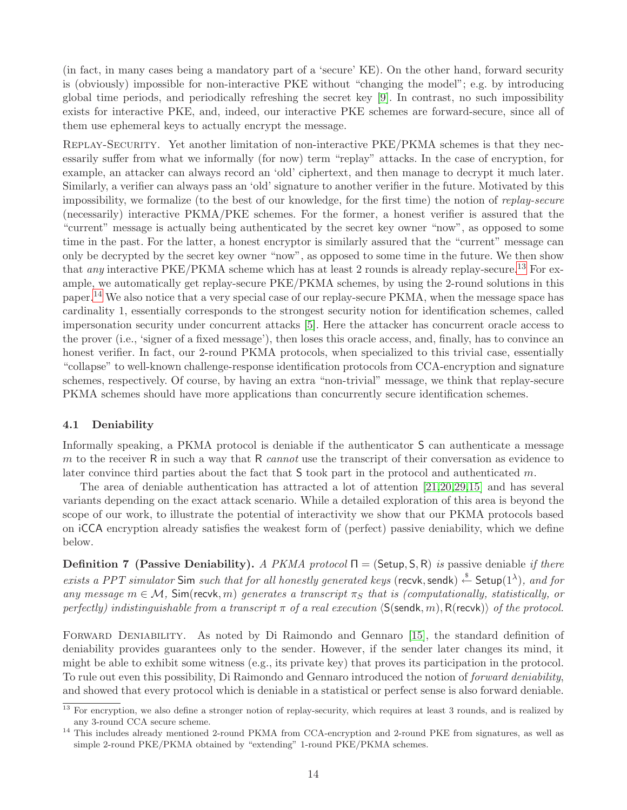(in fact, in many cases being a mandatory part of a 'secure' KE). On the other hand, forward security is (obviously) impossible for non-interactive PKE without "changing the model"; e.g. by introducing global time periods, and periodically refreshing the secret key [\[9\]](#page-21-9). In contrast, no such impossibility exists for interactive PKE, and, indeed, our interactive PKE schemes are forward-secure, since all of them use ephemeral keys to actually encrypt the message.

REPLAY-SECURITY. Yet another limitation of non-interactive PKE/PKMA schemes is that they necessarily suffer from what we informally (for now) term "replay" attacks. In the case of encryption, for example, an attacker can always record an 'old' ciphertext, and then manage to decrypt it much later. Similarly, a verifier can always pass an 'old' signature to another verifier in the future. Motivated by this impossibility, we formalize (to the best of our knowledge, for the first time) the notion of replay-secure (necessarily) interactive PKMA/PKE schemes. For the former, a honest verifier is assured that the "current" message is actually being authenticated by the secret key owner "now", as opposed to some time in the past. For the latter, a honest encryptor is similarly assured that the "current" message can only be decrypted by the secret key owner "now", as opposed to some time in the future. We then show that any interactive PKE/PKMA scheme which has at least 2 rounds is already replay-secure.<sup>[13](#page-15-1)</sup> For example, we automatically get replay-secure PKE/PKMA schemes, by using the 2-round solutions in this paper.[14](#page-15-2) We also notice that a very special case of our replay-secure PKMA, when the message space has cardinality 1, essentially corresponds to the strongest security notion for identification schemes, called impersonation security under concurrent attacks [\[5\]](#page-21-10). Here the attacker has concurrent oracle access to the prover (i.e., 'signer of a fixed message'), then loses this oracle access, and, finally, has to convince an honest verifier. In fact, our 2-round PKMA protocols, when specialized to this trivial case, essentially "collapse" to well-known challenge-response identification protocols from CCA-encryption and signature schemes, respectively. Of course, by having an extra "non-trivial" message, we think that replay-secure PKMA schemes should have more applications than concurrently secure identification schemes.

# <span id="page-15-0"></span>4.1 Deniability

Informally speaking, a PKMA protocol is deniable if the authenticator S can authenticate a message m to the receiver R in such a way that R *cannot* use the transcript of their conversation as evidence to later convince third parties about the fact that  $S$  took part in the protocol and authenticated m.

The area of deniable authentication has attracted a lot of attention [\[21,](#page-22-3)[20,](#page-22-4)[29,](#page-22-7)[15\]](#page-22-5) and has several variants depending on the exact attack scenario. While a detailed exploration of this area is beyond the scope of our work, to illustrate the potential of interactivity we show that our PKMA protocols based on iCCA encryption already satisfies the weakest form of (perfect) passive deniability, which we define below.

<span id="page-15-3"></span>**Definition 7 (Passive Deniability).** A PKMA protocol  $\Pi = (Setup, S, R)$  is passive deniable if there exists a PPT simulator Sim such that for all honestly generated keys (recvk, sendk)  $\stackrel{\$}{\leftarrow}$  Setup $(1^{\lambda})$ , and for any message  $m \in \mathcal{M}$ , Sim(recvk, m) generates a transcript  $\pi_S$  that is (computationally, statistically, or perfectly) indistinguishable from a transcript  $\pi$  of a real execution  $\langle S(\mathsf{sendk}, m), R(\mathsf{recvk}) \rangle$  of the protocol.

FORWARD DENIABILITY. As noted by Di Raimondo and Gennaro [\[15\]](#page-22-5), the standard definition of deniability provides guarantees only to the sender. However, if the sender later changes its mind, it might be able to exhibit some witness (e.g., its private key) that proves its participation in the protocol. To rule out even this possibility, Di Raimondo and Gennaro introduced the notion of forward deniability, and showed that every protocol which is deniable in a statistical or perfect sense is also forward deniable.

<span id="page-15-1"></span><sup>&</sup>lt;sup>13</sup> For encryption, we also define a stronger notion of replay-security, which requires at least 3 rounds, and is realized by any 3-round CCA secure scheme.

<span id="page-15-2"></span><sup>&</sup>lt;sup>14</sup> This includes already mentioned 2-round PKMA from CCA-encryption and 2-round PKE from signatures, as well as simple 2-round PKE/PKMA obtained by "extending" 1-round PKE/PKMA schemes.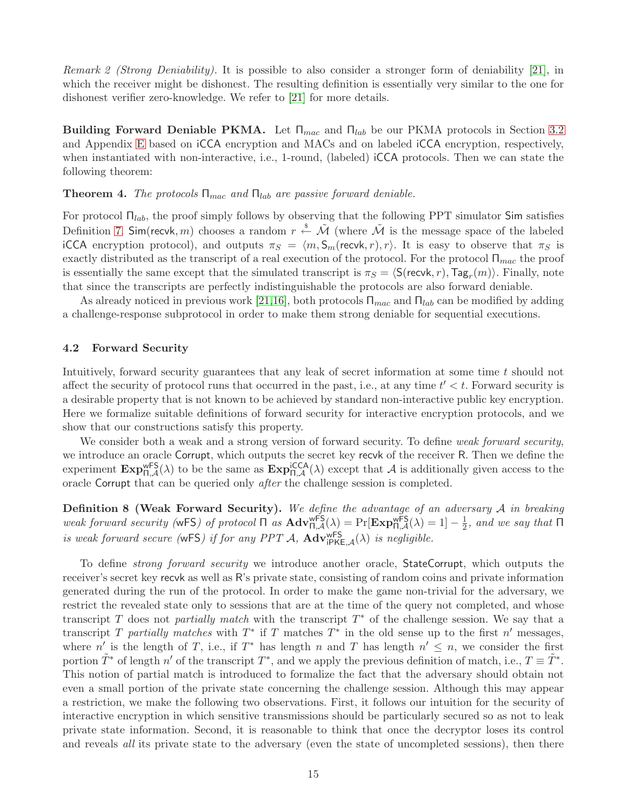Remark 2 (Strong Deniability). It is possible to also consider a stronger form of deniability [\[21\]](#page-22-3), in which the receiver might be dishonest. The resulting definition is essentially very similar to the one for dishonest verifier zero-knowledge. We refer to [\[21\]](#page-22-3) for more details.

Building Forward Deniable PKMA. Let  $\Pi_{mac}$  and  $\Pi_{lab}$  be our PKMA protocols in Section [3.2](#page-11-0) and Appendix [E](#page-26-0) based on iCCA encryption and MACs and on labeled iCCA encryption, respectively, when instantiated with non-interactive, i.e., 1-round, (labeled) iCCA protocols. Then we can state the following theorem:

#### **Theorem 4.** The protocols  $\Pi_{mac}$  and  $\Pi_{lab}$  are passive forward deniable.

For protocol  $\Pi_{lab}$ , the proof simply follows by observing that the following PPT simulator Sim satisfies Definition [7.](#page-15-3) Sim(recvk, m) chooses a random  $r \stackrel{\$}{\leftarrow} \tilde{\mathcal{M}}$  (where  $\tilde{\mathcal{M}}$  is the message space of the labeled iCCA encryption protocol), and outputs  $\pi_S = \langle m, S_m(\text{recvk}, r), r \rangle$ . It is easy to observe that  $\pi_S$  is exactly distributed as the transcript of a real execution of the protocol. For the protocol  $\Pi_{mac}$  the proof is essentially the same except that the simulated transcript is  $\pi_S = \langle \mathsf{S}(\mathsf{recvk}, r), \mathsf{Tag}_r(m) \rangle$ . Finally, note that since the transcripts are perfectly indistinguishable the protocols are also forward deniable.

As already noticed in previous work [\[21](#page-22-3)[,16\]](#page-22-29), both protocols  $\Pi_{mac}$  and  $\Pi_{lab}$  can be modified by adding a challenge-response subprotocol in order to make them strong deniable for sequential executions.

## <span id="page-16-0"></span>4.2 Forward Security

Intuitively, forward security guarantees that any leak of secret information at some time t should not affect the security of protocol runs that occurred in the past, i.e., at any time  $t' < t$ . Forward security is a desirable property that is not known to be achieved by standard non-interactive public key encryption. Here we formalize suitable definitions of forward security for interactive encryption protocols, and we show that our constructions satisfy this property.

We consider both a weak and a strong version of forward security. To define weak forward security, we introduce an oracle Corrupt, which outputs the secret key recvk of the receiver R. Then we define the experiment  $\text{Exp}_{\Pi,\mathcal{A}}^{\text{wFS}}(\lambda)$  to be the same as  $\text{Exp}_{\Pi,\mathcal{A}}^{\text{iCCA}}(\lambda)$  except that  $\mathcal{A}$  is additionally given access to the oracle Corrupt that can be queried only after the challenge session is completed.

**Definition 8 (Weak Forward Security).** We define the advantage of an adversary  $A$  in breaking weak forward security (wFS) of protocol  $\Pi$  as  $\mathbf{Adv}_{\Pi,\mathcal{A}}^{\mathsf{wFS}}(\lambda) = \Pr[\mathbf{Exp}_{\Pi,\mathcal{A}}^{\mathsf{wFS}}(\lambda) = 1] - \frac{1}{2}$  $\frac{1}{2}$ , and we say that  $\Pi$ is weak forward secure (wFS) if for any PPT A,  $\text{Adv}_{iPKE,A}^{wFS}(\lambda)$  is negligible.

To define *strong forward security* we introduce another oracle, **StateCorrupt**, which outputs the receiver's secret key recvk as well as R's private state, consisting of random coins and private information generated during the run of the protocol. In order to make the game non-trivial for the adversary, we restrict the revealed state only to sessions that are at the time of the query not completed, and whose transcript T does not *partially match* with the transcript  $T^*$  of the challenge session. We say that a transcript T partially matches with  $T^*$  if T matches  $T^*$  in the old sense up to the first n' messages, where n' is the length of T, i.e., if T<sup>\*</sup> has length n and T has length  $n' \leq n$ , we consider the first portion  $\tilde{T}^*$  of length n' of the transcript  $T^*$ , and we apply the previous definition of match, i.e.,  $T \equiv \tilde{T}^*$ . This notion of partial match is introduced to formalize the fact that the adversary should obtain not even a small portion of the private state concerning the challenge session. Although this may appear a restriction, we make the following two observations. First, it follows our intuition for the security of interactive encryption in which sensitive transmissions should be particularly secured so as not to leak private state information. Second, it is reasonable to think that once the decryptor loses its control and reveals *all* its private state to the adversary (even the state of uncompleted sessions), then there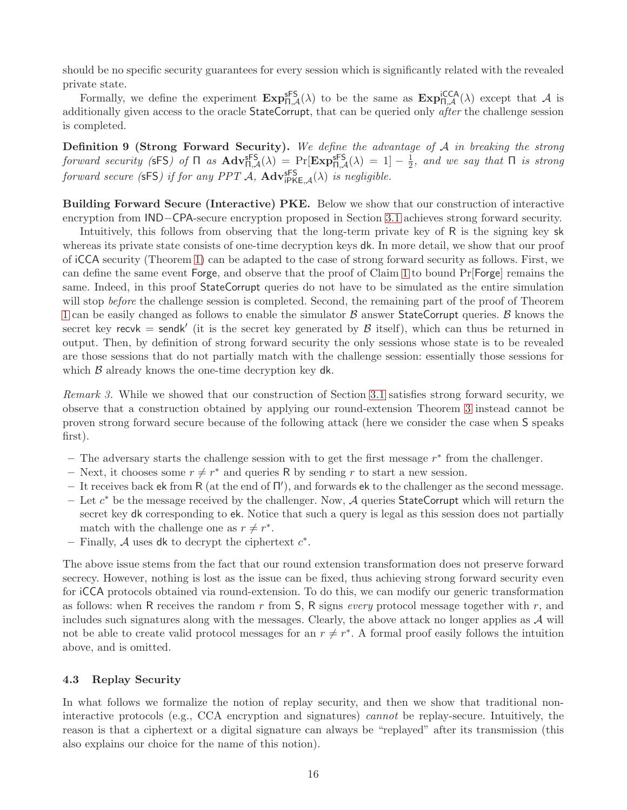should be no specific security guarantees for every session which is significantly related with the revealed private state.

Formally, we define the experiment  $\text{Exp}_{\Pi,\mathcal{A}}^{\text{sFS}}(\lambda)$  to be the same as  $\text{Exp}_{\Pi,\mathcal{A}}^{\text{icCA}}(\lambda)$  except that  $\mathcal{A}$  is additionally given access to the oracle StateCorrupt, that can be queried only *after* the challenge session is completed.

Definition 9 (Strong Forward Security). We define the advantage of A in breaking the strong forward security (sFS) of  $\Pi$  as  $\mathbf{Adv}_{\Pi,\mathcal{A}}^{\mathsf{sFS}}(\lambda) = \Pr[\mathbf{Exp}_{\Pi,\mathcal{A}}^{\mathsf{sFS}}(\lambda) = 1] - \frac{1}{2}$  $\frac{1}{2}$ , and we say that  $\Pi$  is strong forward secure (sFS) if for any PPT  $A$ ,  $\text{Adv}_{i\text{PKE},\mathcal{A}}^{\text{SFS}}(\lambda)$  is negligible.

Building Forward Secure (Interactive) PKE. Below we show that our construction of interactive encryption from IND−CPA-secure encryption proposed in Section [3.1](#page-8-2) achieves strong forward security.

Intuitively, this follows from observing that the long-term private key of R is the signing key sk whereas its private state consists of one-time decryption keys dk. In more detail, we show that our proof of iCCA security (Theorem [1\)](#page-9-3) can be adapted to the case of strong forward security as follows. First, we can define the same event Forge, and observe that the proof of Claim [1](#page-9-0) to bound Pr[Forge] remains the same. Indeed, in this proof StateCorrupt queries do not have to be simulated as the entire simulation will stop *before* the challenge session is completed. Second, the remaining part of the proof of Theorem [1](#page-9-3) can be easily changed as follows to enable the simulator  $\beta$  answer StateCorrupt queries.  $\beta$  knows the secret key recvk = sendk' (it is the secret key generated by  $\beta$  itself), which can thus be returned in output. Then, by definition of strong forward security the only sessions whose state is to be revealed are those sessions that do not partially match with the challenge session: essentially those sessions for which  $\beta$  already knows the one-time decryption key dk.

Remark 3. While we showed that our construction of Section [3.1](#page-8-2) satisfies strong forward security, we observe that a construction obtained by applying our round-extension Theorem [3](#page-14-1) instead cannot be proven strong forward secure because of the following attack (here we consider the case when S speaks first).

- The adversary starts the challenge session with to get the first message  $r^*$  from the challenger.
- Next, it chooses some  $r \neq r^*$  and queries R by sending r to start a new session.
- It receives back ek from R (at the end of  $\Pi'$ ), and forwards ek to the challenger as the second message.
- Let  $c^*$  be the message received by the challenger. Now,  $\mathcal A$  queries StateCorrupt which will return the secret key dk corresponding to ek. Notice that such a query is legal as this session does not partially match with the challenge one as  $r \neq r^*$ .
- Finally,  $A$  uses dk to decrypt the ciphertext  $c^*$ .

The above issue stems from the fact that our round extension transformation does not preserve forward secrecy. However, nothing is lost as the issue can be fixed, thus achieving strong forward security even for iCCA protocols obtained via round-extension. To do this, we can modify our generic transformation as follows: when R receives the random r from  $S$ , R signs *every* protocol message together with r, and includes such signatures along with the messages. Clearly, the above attack no longer applies as  $\mathcal A$  will not be able to create valid protocol messages for an  $r \neq r^*$ . A formal proof easily follows the intuition above, and is omitted.

#### <span id="page-17-0"></span>4.3 Replay Security

In what follows we formalize the notion of replay security, and then we show that traditional noninteractive protocols (e.g., CCA encryption and signatures) cannot be replay-secure. Intuitively, the reason is that a ciphertext or a digital signature can always be "replayed" after its transmission (this also explains our choice for the name of this notion).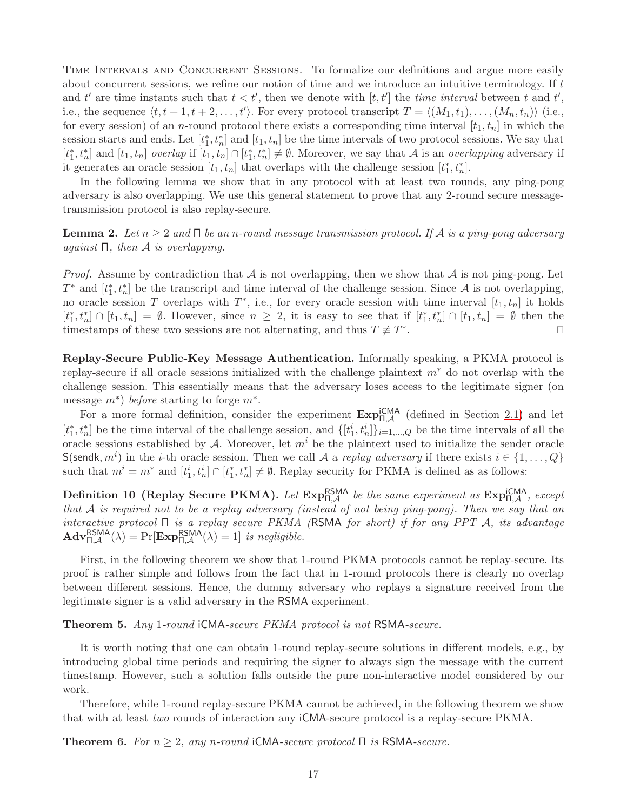TIME INTERVALS AND CONCURRENT SESSIONS. To formalize our definitions and argue more easily about concurrent sessions, we refine our notion of time and we introduce an intuitive terminology. If t and t' are time instants such that  $t < t'$ , then we denote with  $[t, t']$  the time interval between t and t', i.e., the sequence  $\langle t, t + 1, t + 2, \ldots, t' \rangle$ . For every protocol transcript  $T = \langle (M_1, t_1), \ldots, (M_n, t_n) \rangle$  (i.e., for every session) of an *n*-round protocol there exists a corresponding time interval  $[t_1, t_n]$  in which the session starts and ends. Let  $[t<sub>1</sub><sup>*</sup>]$  $\left[1, t_n\right]$  and  $[t_1, t_n]$  be the time intervals of two protocol sessions. We say that  $[t_1^*$  $\left[t_1, t_n\right]$  and  $\left[t_1, t_n\right]$  overlap if  $\left[t_1, t_n\right] \cap \left[t_1^*\right]$  $\mathbf{a}_1^*, t_n^* \neq \emptyset$ . Moreover, we say that A is an *overlapping* adversary if it generates an oracle session  $[t_1, t_n]$  that overlaps with the challenge session  $[t_1^*]$  $_{1}^{*},t_{n}^{*}].$ 

<span id="page-18-0"></span>In the following lemma we show that in any protocol with at least two rounds, any ping-pong adversary is also overlapping. We use this general statement to prove that any 2-round secure messagetransmission protocol is also replay-secure.

**Lemma 2.** Let  $n \geq 2$  and  $\Box$  be an n-round message transmission protocol. If A is a ping-pong adversary against  $\Pi$ , then  $A$  is overlapping.

*Proof.* Assume by contradiction that  $\mathcal A$  is not overlapping, then we show that  $\mathcal A$  is not ping-pong. Let  $T^*$  and  $[t_1^*$  $\mathbf{a}_1^*, t_n^*$  be the transcript and time interval of the challenge session. Since A is not overlapping, no oracle session T overlaps with  $T^*$ , i.e., for every oracle session with time interval  $[t_1, t_n]$  it holds  $[t_1^*$  $\{t_1, t_n^*\} \cap [t_1, t_n] = \emptyset$ . However, since  $n \geq 2$ , it is easy to see that if  $[t_1^*]$  $[t_1, t_n] \cap [t_1, t_n] = \emptyset$  then the timestamps of these two sessions are not alternating, and thus  $T \not\equiv T^*$ . ⊓⊔

Replay-Secure Public-Key Message Authentication. Informally speaking, a PKMA protocol is replay-secure if all oracle sessions initialized with the challenge plaintext  $m^*$  do not overlap with the challenge session. This essentially means that the adversary loses access to the legitimate signer (on message  $m^*$ ) before starting to forge  $m^*$ .

For a more formal definition, consider the experiment  $\text{Exp}_{\Pi,\mathcal{A}}^{\text{iCMA}}$  (defined in Section [2.1\)](#page-7-0) and let  $[t_1^*$ <sup>\*</sup><sub>1</sub>,  $t_n^*$  be the time interval of the challenge session, and  $\{[t_1^i, t_n^i]\}_{i=1,\dots,Q}$  be the time intervals of all the oracle sessions established by  $A$ . Moreover, let  $m<sup>i</sup>$  be the plaintext used to initialize the sender oracle S(sendk,  $m^i$ ) in the *i*-th oracle session. Then we call A a *replay adversary* if there exists  $i \in \{1, ..., Q\}$ such that  $m^i = m^*$  and  $[t_1^i, t_n^i] \cap [t_1^*]$  $\{a}^*, t_n^*$  ≠  $\emptyset$ . Replay security for PKMA is defined as as follows:

**Definition 10 (Replay Secure PKMA).** Let  $\text{Exp}_{\Pi,\mathcal{A}}^{\text{RSMA}}$  be the same experiment as  $\text{Exp}_{\Pi,\mathcal{A}}^{\text{iCMA}}$ , except that A is required not to be a replay adversary (instead of not being ping-pong). Then we say that an interactive protocol  $\Pi$  is a replay secure PKMA (RSMA for short) if for any PPT A, its advantage  $\mathbf{Adv}_{\Pi,\mathcal{A}}^{\mathsf{RSMA}}(\lambda) = \Pr[\mathbf{Exp}_{\Pi,\mathcal{A}}^{\mathsf{RSMA}}(\lambda) = 1]$  is negligible.

First, in the following theorem we show that 1-round PKMA protocols cannot be replay-secure. Its proof is rather simple and follows from the fact that in 1-round protocols there is clearly no overlap between different sessions. Hence, the dummy adversary who replays a signature received from the legitimate signer is a valid adversary in the RSMA experiment.

Theorem 5. Any 1-round iCMA-secure PKMA protocol is not RSMA-secure.

It is worth noting that one can obtain 1-round replay-secure solutions in different models, e.g., by introducing global time periods and requiring the signer to always sign the message with the current timestamp. However, such a solution falls outside the pure non-interactive model considered by our work.

<span id="page-18-1"></span>Therefore, while 1-round replay-secure PKMA cannot be achieved, in the following theorem we show that with at least two rounds of interaction any iCMA-secure protocol is a replay-secure PKMA.

**Theorem 6.** For  $n \geq 2$ , any n-round iCMA-secure protocol  $\Pi$  is RSMA-secure.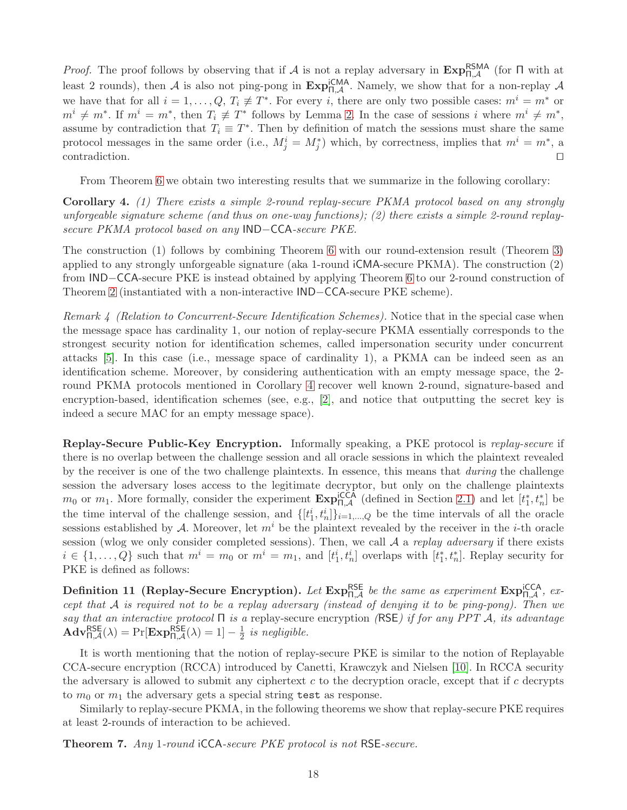*Proof.* The proof follows by observing that if A is not a replay adversary in  $\text{Exp}_{n,\mathcal{A}}^{\text{RSMA}}$  (for  $\Pi$  with at least 2 rounds), then A is also not ping-pong in  $\text{Exp}_{\Pi,\mathcal{A}}^{\text{iCMA}}$ . Namely, we show that for a non-replay A we have that for all  $i = 1, \ldots, Q, T_i \neq T^*$ . For every i, there are only two possible cases:  $m^i = m^*$  or  $m^i \neq m^*$ . If  $m^i = m^*$ , then  $T_i \not\equiv T^*$  follows by Lemma [2.](#page-18-0) In the case of sessions i where  $m^i \neq m^*$ , assume by contradiction that  $T_i \equiv T^*$ . Then by definition of match the sessions must share the same protocol messages in the same order (i.e.,  $M_j^i = M_j^*$ ) which, by correctness, implies that  $m^i = m^*$ , a contradiction. ⊓⊔

<span id="page-19-1"></span>From Theorem [6](#page-18-1) we obtain two interesting results that we summarize in the following corollary:

Corollary 4. (1) There exists a simple 2-round replay-secure PKMA protocol based on any strongly unforgeable signature scheme (and thus on one-way functions); (2) there exists a simple 2-round replaysecure PKMA protocol based on any IND−CCA-secure PKE.

The construction (1) follows by combining Theorem [6](#page-18-1) with our round-extension result (Theorem [3\)](#page-14-1) applied to any strongly unforgeable signature (aka 1-round iCMA-secure PKMA). The construction (2) from IND−CCA-secure PKE is instead obtained by applying Theorem [6](#page-18-1) to our 2-round construction of Theorem [2](#page-12-1) (instantiated with a non-interactive IND−CCA-secure PKE scheme).

<span id="page-19-0"></span>Remark 4 (Relation to Concurrent-Secure Identification Schemes). Notice that in the special case when the message space has cardinality 1, our notion of replay-secure PKMA essentially corresponds to the strongest security notion for identification schemes, called impersonation security under concurrent attacks [\[5\]](#page-21-10). In this case (i.e., message space of cardinality 1), a PKMA can be indeed seen as an identification scheme. Moreover, by considering authentication with an empty message space, the 2 round PKMA protocols mentioned in Corollary [4](#page-19-1) recover well known 2-round, signature-based and encryption-based, identification schemes (see, e.g., [\[2\]](#page-21-11), and notice that outputting the secret key is indeed a secure MAC for an empty message space).

Replay-Secure Public-Key Encryption. Informally speaking, a PKE protocol is replay-secure if there is no overlap between the challenge session and all oracle sessions in which the plaintext revealed by the receiver is one of the two challenge plaintexts. In essence, this means that during the challenge session the adversary loses access to the legitimate decryptor, but only on the challenge plaintexts  $m_0$  or  $m_1$ . More formally, consider the experiment  $\text{Exp}^{\text{ICCA}}_{\Pi,\mathcal{A}}$  (defined in Section [2.1\)](#page-7-0) and let  $[t_1^*$  $\left[\begin{matrix} 1 \\ 1 \end{matrix}\right]$  be the time interval of the challenge session, and  $\{[t_1^i, t_n^i]\}_{i=1,\dots,Q}$  be the time intervals of all the oracle sessions established by A. Moreover, let  $m<sup>i</sup>$  be the plaintext revealed by the receiver in the *i*-th oracle session (wlog we only consider completed sessions). Then, we call  $A$  a replay adversary if there exists  $i \in \{1, \ldots, Q\}$  such that  $m^i = m_0$  or  $m^i = m_1$ , and  $[t_1^i, t_n^i]$  overlaps with  $[t_1^*]$  $\mathbf{r}_1^*, t_n^*$ . Replay security for PKE is defined as follows:

Definition 11 (Replay-Secure Encryption). Let  $\text{Exp}_{\Pi,\mathcal{A}}^{\text{RSE}}$  be the same as experiment  $\text{Exp}_{\Pi,\mathcal{A}}^{\text{iCCA}}$ , except that A is required not to be a replay adversary (instead of denying it to be ping-pong). Then we say that an interactive protocol  $\Pi$  is a replay-secure encryption (RSE) if for any PPT A, its advantage  $\mathbf{Adv}_{\Pi,\mathcal{A}}^{\mathsf{RSE}}(\lambda) = \Pr[\mathbf{Exp}_{\Pi,\mathcal{A}}^{\mathsf{RSE}}(\lambda) = 1] - \frac{1}{2}$  $rac{1}{2}$  is negligible.

It is worth mentioning that the notion of replay-secure PKE is similar to the notion of Replayable CCA-secure encryption (RCCA) introduced by Canetti, Krawczyk and Nielsen [\[10\]](#page-21-12). In RCCA security the adversary is allowed to submit any ciphertext  $c$  to the decryption oracle, except that if  $c$  decrypts to  $m_0$  or  $m_1$  the adversary gets a special string test as response.

Similarly to replay-secure PKMA, in the following theorems we show that replay-secure PKE requires at least 2-rounds of interaction to be achieved.

Theorem 7. Any 1-round iCCA-secure PKE protocol is not RSE-secure.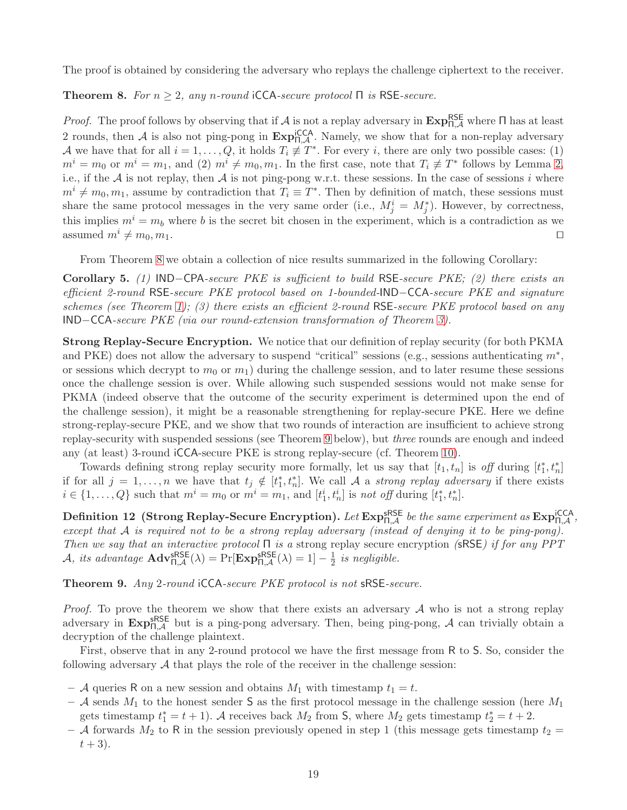<span id="page-20-0"></span>The proof is obtained by considering the adversary who replays the challenge ciphertext to the receiver.

**Theorem 8.** For  $n \geq 2$ , any n-round iCCA-secure protocol  $\Pi$  is RSE-secure.

*Proof.* The proof follows by observing that if  $A$  is not a replay adversary in  $Exp_{\Pi,A}^{\text{RSE}}$  where  $\Pi$  has at least 2 rounds, then A is also not ping-pong in  $\text{Exp}_{n,\mathcal{A}}^{\text{ICCA}}$ . Namely, we show that for a non-replay adversary A we have that for all  $i = 1, \ldots, Q$ , it holds  $T_i \neq T^*$ . For every i, there are only two possible cases: (1)  $m^i = m_0$  or  $m^i = m_1$ , and (2)  $m^i \neq m_0, m_1$ . In the first case, note that  $T_i \not\equiv T^*$  follows by Lemma [2,](#page-18-0) i.e., if the  $A$  is not replay, then  $A$  is not ping-pong w.r.t. these sessions. In the case of sessions i where  $m^{i} \neq m_{0}, m_{1}$ , assume by contradiction that  $T_{i} \equiv T^{*}$ . Then by definition of match, these sessions must share the same protocol messages in the very same order (i.e.,  $M_j^i = M_j^*$ ). However, by correctness, this implies  $m^i = m_b$  where b is the secret bit chosen in the experiment, which is a contradiction as we assumed  $m^i \neq m_0, m_1$ . □

From Theorem [8](#page-20-0) we obtain a collection of nice results summarized in the following Corollary:

Corollary 5. (1) IND−CPA-secure PKE is sufficient to build RSE-secure PKE; (2) there exists an efficient 2-round RSE-secure PKE protocol based on 1-bounded-IND−CCA-secure PKE and signature schemes (see Theorem [1\)](#page-9-3); (3) there exists an efficient 2-round RSE-secure PKE protocol based on any IND−CCA-secure PKE (via our round-extension transformation of Theorem [3\)](#page-14-1).

Strong Replay-Secure Encryption. We notice that our definition of replay security (for both PKMA and PKE) does not allow the adversary to suspend "critical" sessions (e.g., sessions authenticating  $m^*$ , or sessions which decrypt to  $m_0$  or  $m_1$ ) during the challenge session, and to later resume these sessions once the challenge session is over. While allowing such suspended sessions would not make sense for PKMA (indeed observe that the outcome of the security experiment is determined upon the end of the challenge session), it might be a reasonable strengthening for replay-secure PKE. Here we define strong-replay-secure PKE, and we show that two rounds of interaction are insufficient to achieve strong replay-security with suspended sessions (see Theorem [9](#page-20-1) below), but three rounds are enough and indeed any (at least) 3-round iCCA-secure PKE is strong replay-secure (cf. Theorem [10\)](#page-21-13).

Towards defining strong replay security more formally, let us say that  $[t_1, t_n]$  is off during  $[t_1^*]$  $_{1}^{*},t_{n}^{*}]$ if for all  $j = 1, ..., n$  we have that  $t_j \notin [t_1^*]$  $\hat{a}_1, t_n^*$ . We call A a *strong replay adversary* if there exists  $i \in \{1, \ldots, Q\}$  such that  $m^i = m_0$  or  $m^i = m_1$ , and  $[t_1^i, t_n^i]$  is not off during  $[t_1^*]$  $_{1}^{*},t_{n}^{*}].$ 

 ${\rm Definition~12~\ (Strong\,Replace\, Encryption).}$  Let  ${\rm Exp}^{\rm sRSE}_{\Pi,\mathcal A}$  be the same experiment as  ${\rm Exp}^{\rm iCCA}_{\Pi,\mathcal A}$  , except that A is required not to be a strong replay adversary (instead of denying it to be ping-pong). Then we say that an interactive protocol  $\Pi$  is a strong replay secure encryption (sRSE) if for any PPT *A*, its advantage  $\mathbf{Adv}_{\Pi,\mathcal{A}}^{\sf sRSE}(\lambda) = \Pr[\mathbf{Exp}_{\Pi,\mathcal{A}}^{\sf sRSE}(\lambda) = 1] - \frac{1}{2}$  $rac{1}{2}$  is negligible.

<span id="page-20-1"></span>Theorem 9. Any 2-round iCCA-secure PKE protocol is not sRSE-secure.

*Proof.* To prove the theorem we show that there exists an adversary  $A$  who is not a strong replay adversary in  $\text{Exp}_{n,\mathcal{A}}^{\text{SSE}}$  but is a ping-pong adversary. Then, being ping-pong,  $\mathcal{A}$  can trivially obtain a decryption of the challenge plaintext.

First, observe that in any 2-round protocol we have the first message from R to S. So, consider the following adversary  $A$  that plays the role of the receiver in the challenge session:

- A queries R on a new session and obtains  $M_1$  with timestamp  $t_1 = t$ .
- A sends  $M_1$  to the honest sender S as the first protocol message in the challenge session (here  $M_1$ ) gets timestamp  $t_1^* = t + 1$ ). A receives back  $M_2$  from S, where  $M_2$  gets timestamp  $t_2^* = t + 2$ .
- A forwards  $M_2$  to R in the session previously opened in step 1 (this message gets timestamp  $t_2 =$  $t + 3$ ).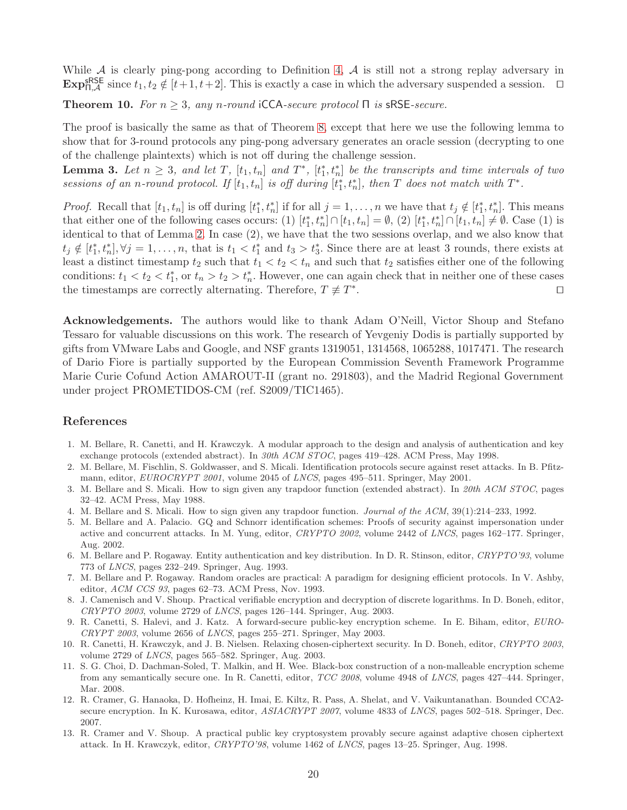<span id="page-21-13"></span>While  $A$  is clearly ping-pong according to Definition [4,](#page-6-0)  $A$  is still not a strong replay adversary in  $\text{Exp}_{\Pi,\mathcal{A}}^{\text{sRSE}}$  since  $t_1, t_2 \notin [t+1, t+2]$ . This is exactly a case in which the adversary suspended a session.  $\Box$ 

**Theorem 10.** For  $n \geq 3$ , any n-round iCCA-secure protocol  $\Pi$  is sRSE-secure.

The proof is basically the same as that of Theorem [8,](#page-20-0) except that here we use the following lemma to show that for 3-round protocols any ping-pong adversary generates an oracle session (decrypting to one of the challenge plaintexts) which is not off during the challenge session.

**Lemma 3.** Let  $n \geq 3$ , and let T,  $[t_1, t_n]$  and  $T^*$ ,  $[t_1^*$  $\mathbf{a}_1^*, t_n^*$  be the transcripts and time intervals of two sessions of an n-round protocol. If  $[t_1, t_n]$  is off during  $[t_1^*]$  $\left[\mathbf{r}_1^*, t_n^*\right]$ , then T does not match with  $T^*$ .

*Proof.* Recall that  $[t_1, t_n]$  is off during  $[t_1^*]$ <sup>\*</sup><sub>1</sub>,  $t_n^*$ ] if for all  $j = 1, ..., n$  we have that  $t_j \notin [t_1^*]$  $\binom{1}{1}$ ,  $t_n^*$ . This means that either one of the following cases occurs: (1)  $[t_1^*]$  $[t_1^*, t_n^*] \cap [t_1, t_n] = \emptyset, (2) [t_1^*]$  $\binom{1}{1}, t_n \rceil \cap [t_1, t_n] \neq \emptyset$ . Case (1) is identical to that of Lemma [2.](#page-18-0) In case (2), we have that the two sessions overlap, and we also know that  $t_j \notin [t_1^*]$  $\{t_1, t_n^*\}, \forall j = 1, \ldots, n$ , that is  $t_1 < t_1^*$  and  $t_3 > t_3^*$ . Since there are at least 3 rounds, there exists at least a distinct timestamp  $t_2$  such that  $t_1 < t_2 < t_n$  and such that  $t_2$  satisfies either one of the following conditions:  $t_1 < t_2 < t_1^*$ , or  $t_n > t_2 > t_n^*$ . However, one can again check that in neither one of these cases the timestamps are correctly alternating. Therefore,  $T \neq T^*$ . ⊓⊔

Acknowledgements. The authors would like to thank Adam O'Neill, Victor Shoup and Stefano Tessaro for valuable discussions on this work. The research of Yevgeniy Dodis is partially supported by gifts from VMware Labs and Google, and NSF grants 1319051, 1314568, 1065288, 1017471. The research of Dario Fiore is partially supported by the European Commission Seventh Framework Programme Marie Curie Cofund Action AMAROUT-II (grant no. 291803), and the Madrid Regional Government under project PROMETIDOS-CM (ref. S2009/TIC1465).

# <span id="page-21-6"></span>References

- 1. M. Bellare, R. Canetti, and H. Krawczyk. A modular approach to the design and analysis of authentication and key exchange protocols (extended abstract). In 30th ACM STOC, pages 419–428. ACM Press, May 1998.
- <span id="page-21-11"></span>2. M. Bellare, M. Fischlin, S. Goldwasser, and S. Micali. Identification protocols secure against reset attacks. In B. Pfitzmann, editor, EUROCRYPT 2001, volume 2045 of LNCS, pages 495–511. Springer, May 2001.
- <span id="page-21-3"></span><span id="page-21-2"></span>3. M. Bellare and S. Micali. How to sign given any trapdoor function (extended abstract). In 20th ACM STOC, pages 32–42. ACM Press, May 1988.
- 4. M. Bellare and S. Micali. How to sign given any trapdoor function. Journal of the ACM, 39(1):214–233, 1992.
- <span id="page-21-10"></span>5. M. Bellare and A. Palacio. GQ and Schnorr identification schemes: Proofs of security against impersonation under active and concurrent attacks. In M. Yung, editor, CRYPTO 2002, volume 2442 of LNCS, pages 162–177. Springer, Aug. 2002.
- <span id="page-21-7"></span>6. M. Bellare and P. Rogaway. Entity authentication and key distribution. In D. R. Stinson, editor, CRYPTO'93, volume 773 of LNCS, pages 232–249. Springer, Aug. 1993.
- <span id="page-21-4"></span>7. M. Bellare and P. Rogaway. Random oracles are practical: A paradigm for designing efficient protocols. In V. Ashby, editor, ACM CCS 93, pages 62–73. ACM Press, Nov. 1993.
- <span id="page-21-8"></span>8. J. Camenisch and V. Shoup. Practical verifiable encryption and decryption of discrete logarithms. In D. Boneh, editor, CRYPTO 2003, volume 2729 of LNCS, pages 126–144. Springer, Aug. 2003.
- <span id="page-21-9"></span>9. R. Canetti, S. Halevi, and J. Katz. A forward-secure public-key encryption scheme. In E. Biham, editor, EURO-CRYPT 2003, volume 2656 of LNCS, pages 255–271. Springer, May 2003.
- <span id="page-21-12"></span>10. R. Canetti, H. Krawczyk, and J. B. Nielsen. Relaxing chosen-ciphertext security. In D. Boneh, editor, CRYPTO 2003, volume 2729 of LNCS, pages 565–582. Springer, Aug. 2003.
- <span id="page-21-1"></span>11. S. G. Choi, D. Dachman-Soled, T. Malkin, and H. Wee. Black-box construction of a non-malleable encryption scheme from any semantically secure one. In R. Canetti, editor, TCC 2008, volume 4948 of LNCS, pages 427–444. Springer, Mar. 2008.
- <span id="page-21-0"></span>12. R. Cramer, G. Hanaoka, D. Hofheinz, H. Imai, E. Kiltz, R. Pass, A. Shelat, and V. Vaikuntanathan. Bounded CCA2 secure encryption. In K. Kurosawa, editor, ASIACRYPT 2007, volume 4833 of LNCS, pages 502–518. Springer, Dec. 2007.
- <span id="page-21-5"></span>13. R. Cramer and V. Shoup. A practical public key cryptosystem provably secure against adaptive chosen ciphertext attack. In H. Krawczyk, editor, CRYPTO'98, volume 1462 of LNCS, pages 13–25. Springer, Aug. 1998.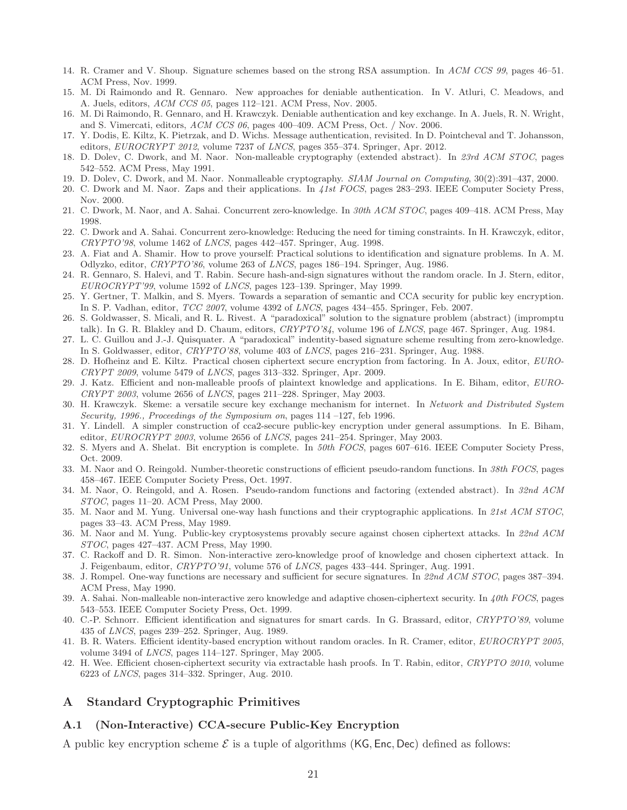- <span id="page-22-20"></span><span id="page-22-5"></span>14. R. Cramer and V. Shoup. Signature schemes based on the strong RSA assumption. In ACM CCS 99, pages 46–51. ACM Press, Nov. 1999.
- <span id="page-22-29"></span>15. M. Di Raimondo and R. Gennaro. New approaches for deniable authentication. In V. Atluri, C. Meadows, and A. Juels, editors, ACM CCS 05, pages 112-121. ACM Press, Nov. 2005.
- 16. M. Di Raimondo, R. Gennaro, and H. Krawczyk. Deniable authentication and key exchange. In A. Juels, R. N. Wright, and S. Vimercati, editors, ACM CCS 06, pages 400–409. ACM Press, Oct. / Nov. 2006.
- <span id="page-22-28"></span><span id="page-22-6"></span>17. Y. Dodis, E. Kiltz, K. Pietrzak, and D. Wichs. Message authentication, revisited. In D. Pointcheval and T. Johansson, editors, EUROCRYPT 2012, volume 7237 of LNCS, pages 355–374. Springer, Apr. 2012.
- 18. D. Dolev, C. Dwork, and M. Naor. Non-malleable cryptography (extended abstract). In 23rd ACM STOC, pages 542–552. ACM Press, May 1991.
- <span id="page-22-4"></span><span id="page-22-2"></span>19. D. Dolev, C. Dwork, and M. Naor. Nonmalleable cryptography. SIAM Journal on Computing, 30(2):391–437, 2000.
- <span id="page-22-3"></span>20. C. Dwork and M. Naor. Zaps and their applications. In 41st FOCS, pages 283–293. IEEE Computer Society Press, Nov. 2000.
- <span id="page-22-30"></span>21. C. Dwork, M. Naor, and A. Sahai. Concurrent zero-knowledge. In 30th ACM STOC, pages 409–418. ACM Press, May 1998.
- 22. C. Dwork and A. Sahai. Concurrent zero-knowledge: Reducing the need for timing constraints. In H. Krawczyk, editor,  $CRYPTO'98$ , volume 1462 of *LNCS*, pages  $442-457$ . Springer, Aug. 1998.
- <span id="page-22-17"></span>23. A. Fiat and A. Shamir. How to prove yourself: Practical solutions to identification and signature problems. In A. M. Odlyzko, editor, CRYPTO'86, volume 263 of LNCS, pages 186–194. Springer, Aug. 1986.
- <span id="page-22-21"></span>24. R. Gennaro, S. Halevi, and T. Rabin. Secure hash-and-sign signatures without the random oracle. In J. Stern, editor, EUROCRYPT'99, volume 1592 of LNCS, pages 123–139. Springer, May 1999.
- <span id="page-22-13"></span>25. Y. Gertner, T. Malkin, and S. Myers. Towards a separation of semantic and CCA security for public key encryption. In S. P. Vadhan, editor, TCC 2007, volume 4392 of LNCS, pages 434–455. Springer, Feb. 2007.
- <span id="page-22-14"></span>26. S. Goldwasser, S. Micali, and R. L. Rivest. A "paradoxical" solution to the signature problem (abstract) (impromptu talk). In G. R. Blakley and D. Chaum, editors, CRYPTO'84, volume 196 of LNCS, page 467. Springer, Aug. 1984.
- <span id="page-22-19"></span>27. L. C. Guillou and J.-J. Quisquater. A "paradoxical" indentity-based signature scheme resulting from zero-knowledge. In S. Goldwasser, editor, CRYPTO'88, volume 403 of LNCS, pages 216–231. Springer, Aug. 1988.
- <span id="page-22-23"></span>28. D. Hofheinz and E. Kiltz. Practical chosen ciphertext secure encryption from factoring. In A. Joux, editor, EURO- $CRYPT 2009$ , volume 5479 of  $LNCS$ , pages 313–332. Springer, Apr. 2009.
- <span id="page-22-7"></span>29. J. Katz. Efficient and non-malleable proofs of plaintext knowledge and applications. In E. Biham, editor, EURO- $CRYPT 2003$ , volume 2656 of  $LNCS$ , pages 211–228. Springer, May 2003.
- <span id="page-22-25"></span>30. H. Krawczyk. Skeme: a versatile secure key exchange mechanism for internet. In Network and Distributed System Security, 1996., Proceedings of the Symposium on, pages 114 -127, feb 1996.
- <span id="page-22-11"></span>31. Y. Lindell. A simpler construction of cca2-secure public-key encryption under general assumptions. In E. Biham, editor, EUROCRYPT 2003, volume 2656 of LNCS, pages 241–254. Springer, May 2003.
- <span id="page-22-12"></span>32. S. Myers and A. Shelat. Bit encryption is complete. In 50th FOCS, pages 607–616. IEEE Computer Society Press, Oct. 2009.
- <span id="page-22-26"></span>33. M. Naor and O. Reingold. Number-theoretic constructions of efficient pseudo-random functions. In 38th FOCS, pages 458–467. IEEE Computer Society Press, Oct. 1997.
- <span id="page-22-27"></span>34. M. Naor, O. Reingold, and A. Rosen. Pseudo-random functions and factoring (extended abstract). In 32nd ACM STOC, pages 11–20. ACM Press, May 2000.
- <span id="page-22-15"></span>35. M. Naor and M. Yung. Universal one-way hash functions and their cryptographic applications. In 21st ACM STOC, pages 33–43. ACM Press, May 1989.
- <span id="page-22-8"></span>36. M. Naor and M. Yung. Public-key cryptosystems provably secure against chosen ciphertext attacks. In 22nd ACM STOC, pages 427–437. ACM Press, May 1990.
- <span id="page-22-9"></span>37. C. Rackoff and D. R. Simon. Non-interactive zero-knowledge proof of knowledge and chosen ciphertext attack. In J. Feigenbaum, editor, CRYPTO'91, volume 576 of LNCS, pages 433–444. Springer, Aug. 1991.
- <span id="page-22-16"></span>38. J. Rompel. One-way functions are necessary and sufficient for secure signatures. In 22nd ACM STOC, pages 387–394. ACM Press, May 1990.
- <span id="page-22-10"></span>39. A. Sahai. Non-malleable non-interactive zero knowledge and adaptive chosen-ciphertext security. In  $\mu$ 0th FOCS, pages 543–553. IEEE Computer Society Press, Oct. 1999.
- <span id="page-22-18"></span>40. C.-P. Schnorr. Efficient identification and signatures for smart cards. In G. Brassard, editor, CRYPTO'89, volume 435 of LNCS, pages 239–252. Springer, Aug. 1989.
- <span id="page-22-22"></span>41. B. R. Waters. Efficient identity-based encryption without random oracles. In R. Cramer, editor, EUROCRYPT 2005, volume 3494 of LNCS, pages 114–127. Springer, May 2005.
- <span id="page-22-24"></span>42. H. Wee. Efficient chosen-ciphertext security via extractable hash proofs. In T. Rabin, editor, CRYPTO 2010, volume 6223 of LNCS, pages 314–332. Springer, Aug. 2010.

# <span id="page-22-1"></span><span id="page-22-0"></span>A Standard Cryptographic Primitives

#### A.1 (Non-Interactive) CCA-secure Public-Key Encryption

A public key encryption scheme  $\mathcal E$  is a tuple of algorithms (KG, Enc, Dec) defined as follows: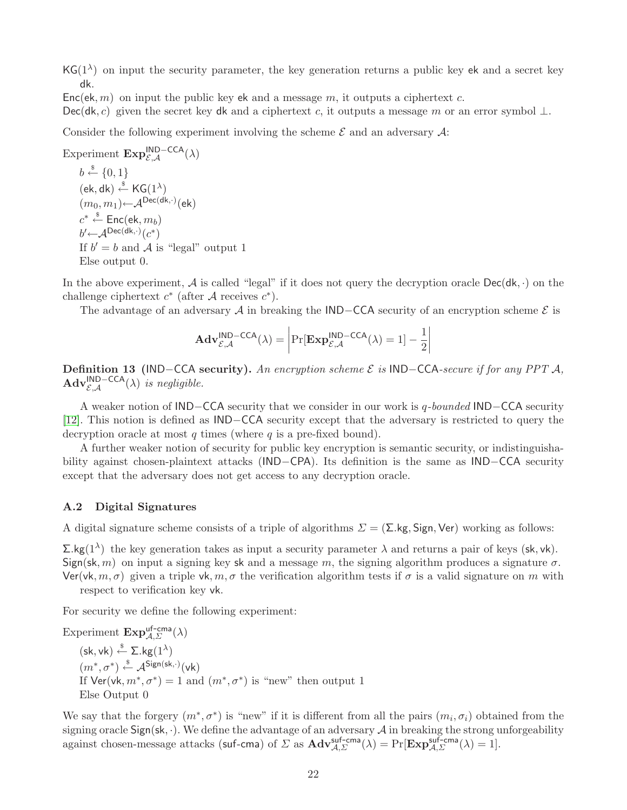$\mathsf{KG}(1^{\lambda})$  on input the security parameter, the key generation returns a public key ek and a secret key dk.

 $Enc(\mathsf{ek}, m)$  on input the public key ek and a message m, it outputs a ciphertext c.

Dec(dk, c) given the secret key dk and a ciphertext c, it outputs a message m or an error symbol  $\perp$ .

Consider the following experiment involving the scheme  $\mathcal E$  and an adversary  $\mathcal A$ :

Experiment  $\mathbf{Exp}_{\mathcal{E},\mathcal{A}}^{\mathsf{IND-CCA}}(\lambda)$  $b \stackrel{\hspace{0.1em}\mathsf{\scriptscriptstyle\$}}{\leftarrow} \{0,1\}$  $(\mathsf{ek}, \mathsf{dk}) \overset{\$}{\leftarrow} \mathsf{KG}(1^{\lambda})$  $(m_0,m_1)\!\!\leftarrow\!\!{\mathcal{A}^{\mathsf{Dec}({\mathsf{dk}},\cdot)}({\mathsf{ek}}) }$  $c^* \overset{\hspace{0.1em}\mathsf{\scriptscriptstyle\$}}{\leftarrow} \mathsf{Enc}(\mathsf{ek},m_b)$  $b'$   $\leftarrow$   $\mathcal{A}^{\mathsf{Dec}(\mathsf{dk},\cdot)}(c^*)$ If  $b' = b$  and  $\mathcal A$  is "legal" output 1 Else output 0.

In the above experiment, A is called "legal" if it does not query the decryption oracle  $Dec(dk, \cdot)$  on the challenge ciphertext  $c^*$  (after A receives  $c^*$ ).

The advantage of an adversary A in breaking the IND−CCA security of an encryption scheme  $\mathcal E$  is

$$
\mathbf{Adv}_{\mathcal{E},\mathcal{A}}^{\mathsf{IND-CCA}}(\lambda) = \left| \Pr[\mathbf{Exp}_{\mathcal{E},\mathcal{A}}^{\mathsf{IND-CCA}}(\lambda) = 1] - \frac{1}{2} \right|
$$

Definition 13 (IND−CCA security). An encryption scheme  $\mathcal E$  is IND−CCA-secure if for any PPT A,  $\mathbf{Adv}_{\mathcal{E},\mathcal{A}}^{\mathsf{IND-CCA}}(\lambda)$  is negligible.

A weaker notion of IND−CCA security that we consider in our work is q-bounded IND−CCA security [\[12\]](#page-21-0). This notion is defined as IND−CCA security except that the adversary is restricted to query the decryption oracle at most q times (where q is a pre-fixed bound).

A further weaker notion of security for public key encryption is semantic security, or indistinguishability against chosen-plaintext attacks (IND−CPA). Its definition is the same as IND−CCA security except that the adversary does not get access to any decryption oracle.

## <span id="page-23-0"></span>A.2 Digital Signatures

A digital signature scheme consists of a triple of algorithms  $\Sigma = (\Sigma \text{ kg}, \text{Sign}, \text{Ver})$  working as follows:

 $\Sigma$ .kg(1<sup> $\lambda$ </sup>) the key generation takes as input a security parameter  $\lambda$  and returns a pair of keys (sk, vk). Sign(sk, m) on input a signing key sk and a message m, the signing algorithm produces a signature  $\sigma$ . Ver(vk,  $m, \sigma$ ) given a triple vk,  $m, \sigma$  the verification algorithm tests if  $\sigma$  is a valid signature on m with respect to verification key vk.

For security we define the following experiment:

Experiment  $\text{Exp}_{\mathcal{A},\Sigma}^{\text{uf-cma}}(\lambda)$  $(\mathsf{sk}, \mathsf{vk}) \overset{\$}{\leftarrow} \Sigma.\mathsf{kg}(1^\lambda)$  $(m^*, \sigma^*) \stackrel{\$}{\leftarrow} \mathcal{A}^{\mathsf{Sign}(\mathsf{sk}, \cdot)}(\mathsf{vk})$ If  $Ver(vk, m^*, \sigma^*) = 1$  and  $(m^*, \sigma^*)$  is "new" then output 1 Else Output 0

We say that the forgery  $(m^*, \sigma^*)$  is "new" if it is different from all the pairs  $(m_i, \sigma_i)$  obtained from the signing oracle Sign(sk,  $\cdot$ ). We define the advantage of an adversary  $A$  in breaking the strong unforgeability against chosen-message attacks (suf-cma) of  $\Sigma$  as  $\mathbf{Adv}_{\mathcal{A},\Sigma}^{\mathsf{suf-cma}}(\lambda) = \Pr[\mathbf{Exp}_{\mathcal{A},\Sigma}^{\mathsf{suf-cma}}(\lambda) = 1].$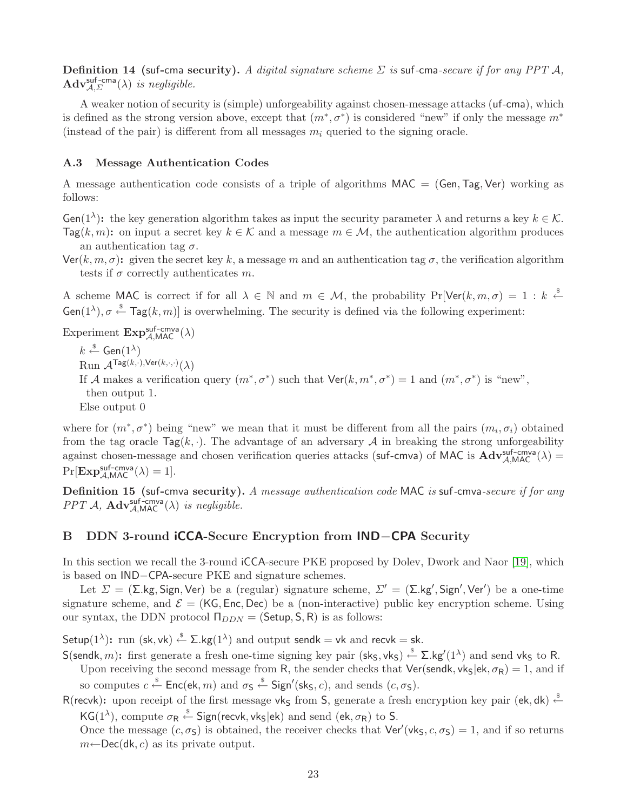**Definition 14 (suf-cma security).** A digital signature scheme  $\Sigma$  is suf-cma-secure if for any PPT A,  $\mathbf{Adv}_{\mathcal{A},\Sigma}^{\mathsf{suf-cma}}(\lambda)$  is negligible.

A weaker notion of security is (simple) unforgeability against chosen-message attacks (uf-cma), which is defined as the strong version above, except that  $(m^*, \sigma^*)$  is considered "new" if only the message  $m^*$ (instead of the pair) is different from all messages  $m_i$  queried to the signing oracle.

## <span id="page-24-0"></span>A.3 Message Authentication Codes

A message authentication code consists of a triple of algorithms  $MAC = (Gen, Tag, Ver)$  working as follows:

**Gen**(1<sup> $\lambda$ </sup>): the key generation algorithm takes as input the security parameter  $\lambda$  and returns a key  $k \in \mathcal{K}$ .  $\text{Tag}(k, m)$ : on input a secret key  $k \in \mathcal{K}$  and a message  $m \in \mathcal{M}$ , the authentication algorithm produces an authentication tag  $\sigma$ .

 $\text{Ver}(k, m, \sigma)$ : given the secret key k, a message m and an authentication tag  $\sigma$ , the verification algorithm tests if  $\sigma$  correctly authenticates m.

A scheme MAC is correct if for all  $\lambda \in \mathbb{N}$  and  $m \in \mathcal{M}$ , the probability  $Pr[Ver(k, m, \sigma) = 1 : k \stackrel{\$}{\leftarrow}$  $Gen(1^{\lambda}), \sigma \stackrel{\$}{\leftarrow} Tag(k, m)$  is overwhelming. The security is defined via the following experiment:

Experiment  $\text{Exp}_{\mathcal{A},\text{MAC}}^{\text{suf-cmva}}(\lambda)$  $k \stackrel{\hspace{0.1em}\mathsf{\scriptscriptstyle\$}}{\leftarrow} \mathsf{Gen}(1^\lambda)$  $\operatorname{Run}\,\mathcal{A}^{\mathsf{Tag}(k,\cdot),\mathsf{Ver}(k,\cdot,\cdot)}(\lambda)$ If A makes a verification query  $(m^*, \sigma^*)$  such that  $\text{Ver}(k, m^*, \sigma^*) = 1$  and  $(m^*, \sigma^*)$  is "new", then output 1. Else output 0

where for  $(m^*, \sigma^*)$  being "new" we mean that it must be different from all the pairs  $(m_i, \sigma_i)$  obtained from the tag oracle  $\text{Tag}(k, \cdot)$ . The advantage of an adversary A in breaking the strong unforgeability against chosen-message and chosen verification queries attacks (suf-cmva) of MAC is  $\overrightarrow{Adv}_{A,MAC}^{suf-cmva}(\lambda) =$  $Pr[\mathbf{Exp}_{\mathcal{A}, \mathsf{MAC}}^{\mathsf{suf-cmva}}(\lambda) = 1].$ 

Definition 15 (suf-cmva security). A message authentication code MAC is suf-cmva-secure if for any  $PPT\ \mathcal{A},\ \mathbf{Adv}_{\mathcal{A},\mathsf{MAC}}^{\mathsf{suf-cmva}}(\lambda)$  is negligible.

#### <span id="page-24-1"></span>B DDN 3-round iCCA-Secure Encryption from IND−CPA Security

In this section we recall the 3-round iCCA-secure PKE proposed by Dolev, Dwork and Naor [\[19\]](#page-22-2), which is based on IND−CPA-secure PKE and signature schemes.

Let  $\Sigma = (\Sigma \text{ kg}, \text{Sign}, \text{Ver})$  be a (regular) signature scheme,  $\Sigma' = (\Sigma \text{ kg}', \text{Sign}', \text{Ver}')$  be a one-time signature scheme, and  $\mathcal{E} = (K\mathsf{G}, \mathsf{Enc}, \mathsf{Dec})$  be a (non-interactive) public key encryption scheme. Using our syntax, the DDN protocol  $\Pi_{DDN} = (Setup, S, R)$  is as follows:

Setup $(1^{\lambda})$ : run (sk, vk)  $\stackrel{\hspace{0.1em}\mathsf{\scriptscriptstyle\$}}{\leftarrow}$   $\Sigma.\mathsf{kg}(1^{\lambda})$  and output sendk  $=\mathsf{vk}$  and recvk  $=\mathsf{sk}.$ 

S(sendk, m): first generate a fresh one-time signing key pair (sks, vks)  $\xleftarrow{\$} \Sigma$ .kg'(1<sup> $\lambda$ </sup>) and send vks to R. Upon receiving the second message from R, the sender checks that  $Ver(sendk, vkg|ek, \sigma_R) = 1$ , and if

so computes  $c \stackrel{\$} \leftarrow \mathsf{Enc}(\mathsf{ek}, m)$  and  $\sigma_{\mathsf{S}} \stackrel{\$} \leftarrow \mathsf{Sign}'(\mathsf{sk}_{\mathsf{S}}, c)$ , and sends  $(c, \sigma_{\mathsf{S}})$ .

R(recvk): upon receipt of the first message vk<sub>S</sub> from S, generate a fresh encryption key pair (ek, dk)  $\stackrel{\$}{\leftarrow}$ KG(1<sup> $\lambda$ </sup>), compute  $\sigma_R \stackrel{\hspace{0.1em}\mathsf{\scriptscriptstyle\$}}{\leftarrow}$  Sign(recvk, vk<sub>S</sub>|ek) and send (ek,  $\sigma_R$ ) to S.

Once the message  $(c, \sigma_s)$  is obtained, the receiver checks that  $\text{Ver}'(\text{vk}_s, c, \sigma_s) = 1$ , and if so returns  $m \leftarrow \text{Dec}(\text{dk}, c)$  as its private output.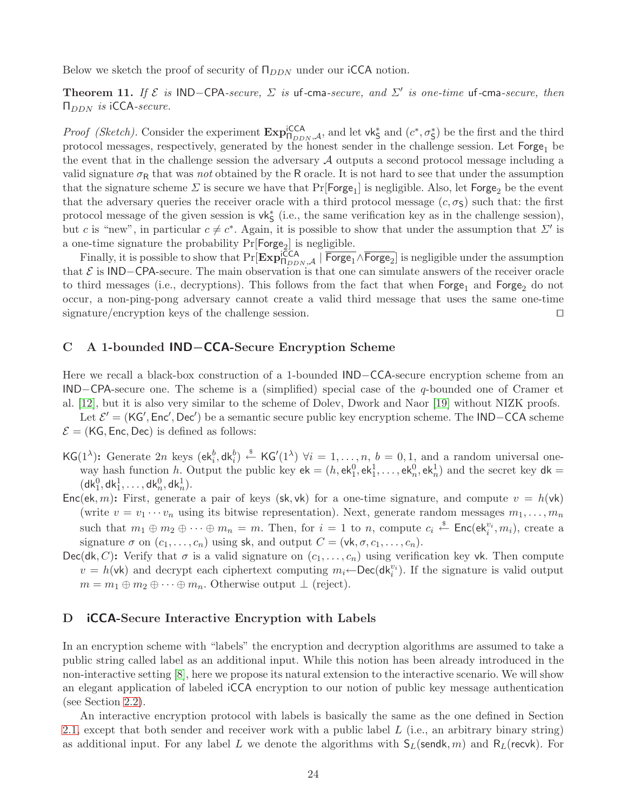Below we sketch the proof of security of  $\Pi_{DDN}$  under our iCCA notion.

Theorem 11. If  $\mathcal E$  is IND-CPA-secure,  $\Sigma$  is uf-cma-secure, and  $\Sigma'$  is one-time uf-cma-secure, then  $\Pi_{DDN}$  is iCCA-secure.

*Proof (Sketch)*. Consider the experiment  $\mathbf{Exp}_{\Pi_{DDN},\mathcal{A}}^{ \text{icCA}},$  and let  $\mathsf{vk}_{\mathsf{S}}^*$  and  $(c^*,\sigma_{\mathsf{S}}^*)$  be the first and the third protocol messages, respectively, generated by the honest sender in the challenge session. Let  $\mathsf{Forge}_1$  be the event that in the challenge session the adversary A outputs a second protocol message including a valid signature  $\sigma_R$  that was not obtained by the R oracle. It is not hard to see that under the assumption that the signature scheme  $\Sigma$  is secure we have that  $Pr[\mathsf{Forge_1}]$  is negligible. Also, let  $\mathsf{Forge_2}$  be the event that the adversary queries the receiver oracle with a third protocol message  $(c, \sigma_s)$  such that: the first protocol message of the given session is vk<sup>\*</sup><sub>5</sub> (i.e., the same verification key as in the challenge session), but c is "new", in particular  $c \neq c^*$ . Again, it is possible to show that under the assumption that  $\Sigma'$  is a one-time signature the probability  $Pr[Forge_2]$  is negligible.

Finally, it is possible to show that  $Pr[\mathbf{Exp}_{\Pi_{DDN},\mathcal{A}}^{i\mathsf{CCA}} \mid \overline{\mathsf{Forge}_1} \wedge \overline{\mathsf{Forge}_2}]$  is negligible under the assumption that  $\mathcal E$  is IND−CPA-secure. The main observation is that one can simulate answers of the receiver oracle to third messages (i.e., decryptions). This follows from the fact that when  $\text{Forge}_1$  and  $\text{Forge}_2$  do not occur, a non-ping-pong adversary cannot create a valid third message that uses the same one-time signature/encryption keys of the challenge session. ⊓⊔

## <span id="page-25-0"></span>C A 1-bounded IND−CCA-Secure Encryption Scheme

Here we recall a black-box construction of a 1-bounded IND−CCA-secure encryption scheme from an IND−CPA-secure one. The scheme is a (simplified) special case of the q-bounded one of Cramer et al. [\[12\]](#page-21-0), but it is also very similar to the scheme of Dolev, Dwork and Naor [\[19\]](#page-22-2) without NIZK proofs.

Let  $\mathcal{E}' = (KG', Enc', Dec')$  be a semantic secure public key encryption scheme. The IND–CCA scheme  $\mathcal{E} = (K\mathsf{G}, \mathsf{Enc}, \mathsf{Dec})$  is defined as follows:

- $\mathsf{KG}(1^{\lambda})$ : Generate 2n keys  $(\mathsf{ek}^b_i, \mathsf{dk}^b_i) \stackrel{\hspace{0.1em}\mathsf{\scriptscriptstyle\$}}{\leftarrow} \mathsf{KG}'(1^{\lambda}) \ \forall i = 1, \ldots, n, \ b = 0, 1, \text{ and a random universal one-}$ way hash function h. Output the public key  $ek = (h, ek_1^0, ek_1^1, \ldots, ek_n^0, ek_n^1)$  and the secret key  $dk =$  $({\sf dk}_1^0, {\sf dk}_1^1, \ldots, {\sf dk}_n^0, {\sf dk}_n^1).$
- Enc(ek, m): First, generate a pair of keys (sk, vk) for a one-time signature, and compute  $v = h(\mathsf{vk})$ (write  $v = v_1 \cdots v_n$  using its bitwise representation). Next, generate random messages  $m_1, \ldots, m_n$ such that  $m_1 \oplus m_2 \oplus \cdots \oplus m_n = m$ . Then, for  $i = 1$  to n, compute  $c_i \stackrel{\$}{\leftarrow} \textsf{Enc}(\mathsf{ek}_i^{v_i}, m_i)$ , create a signature  $\sigma$  on  $(c_1, \ldots, c_n)$  using sk, and output  $C = (\mathsf{vk}, \sigma, c_1, \ldots, c_n)$ .
- Dec(dk, C): Verify that  $\sigma$  is a valid signature on  $(c_1, \ldots, c_n)$  using verification key vk. Then compute  $v = h(\mathsf{vk})$  and decrypt each ciphertext computing  $m_i \leftarrow \mathsf{Dec}(\mathsf{dk}_i^{v_i})$ . If the signature is valid output  $m = m_1 \oplus m_2 \oplus \cdots \oplus m_n$ . Otherwise output  $\perp$  (reject).

# <span id="page-25-1"></span>D **iCCA-Secure Interactive Encryption with Labels**

In an encryption scheme with "labels" the encryption and decryption algorithms are assumed to take a public string called label as an additional input. While this notion has been already introduced in the non-interactive setting [\[8\]](#page-21-8), here we propose its natural extension to the interactive scenario. We will show an elegant application of labeled iCCA encryption to our notion of public key message authentication (see Section [2.2\)](#page-8-0).

An interactive encryption protocol with labels is basically the same as the one defined in Section [2.1,](#page-7-0) except that both sender and receiver work with a public label  $L$  (i.e., an arbitrary binary string) as additional input. For any label L we denote the algorithms with  $S_L$ (sendk, m) and R<sub>L</sub>(recvk). For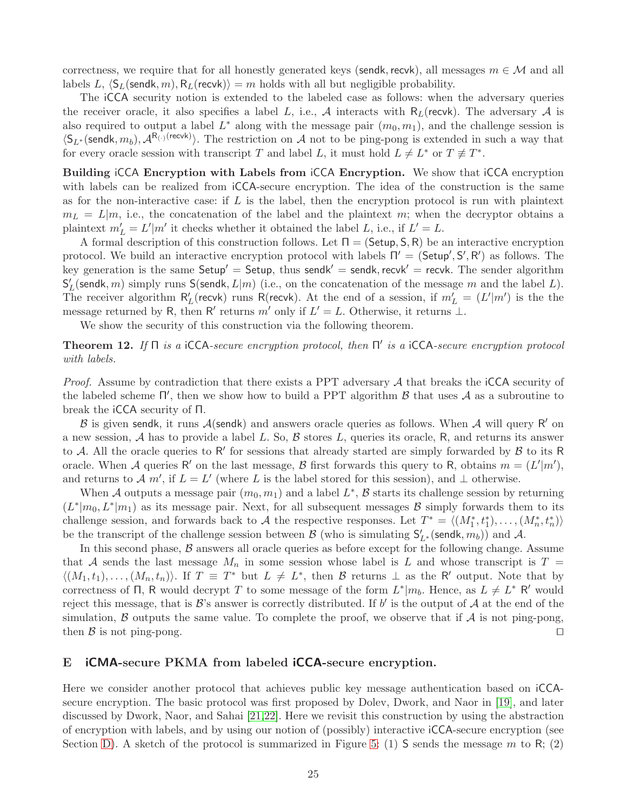correctness, we require that for all honestly generated keys (sendk, recvk), all messages  $m \in \mathcal{M}$  and all labels L,  $\langle S_L(\mathsf{sendk}, m), R_L(\mathsf{recvk}) \rangle = m$  holds with all but negligible probability.

The iCCA security notion is extended to the labeled case as follows: when the adversary queries the receiver oracle, it also specifies a label L, i.e., A interacts with  $R_L$ (recvk). The adversary A is also required to output a label  $L^*$  along with the message pair  $(m_0, m_1)$ , and the challenge session is  $\langle S_{L^*}(\text{sendk}, m_b), \mathcal{A}^{R_{(\cdot)}(\text{recvk})}\rangle$ . The restriction on A not to be ping-pong is extended in such a way that for every oracle session with transcript T and label L, it must hold  $L \neq L^*$  or  $T \not\equiv T^*$ .

Building iCCA Encryption with Labels from iCCA Encryption. We show that iCCA encryption with labels can be realized from  $\text{ICCA}$ -secure encryption. The idea of the construction is the same as for the non-interactive case: if  $L$  is the label, then the encryption protocol is run with plaintext  $m_L = L|m$ , i.e., the concatenation of the label and the plaintext m; when the decryptor obtains a plaintext  $m'_L = L'|m'$  it checks whether it obtained the label L, i.e., if  $L' = L$ .

A formal description of this construction follows. Let  $\Pi = (Setup, S, R)$  be an interactive encryption protocol. We build an interactive encryption protocol with labels  $\Pi' = (\textsf{Setup}', S', R')$  as follows. The key generation is the same Setup' = Setup, thus sendk' = sendk, recvk' = recvk. The sender algorithm S ′  $L'$  (sendk, m) simply runs  ${\sf S}$ (sendk,  $L|m)$  (i.e., on the concatenation of the message m and the label  $L$ ). The receiver algorithm  $R'_i$ L'(recvk) runs R(recvk). At the end of a session, if  $m'_L = (L'|m')$  is the the message returned by R, then R' returns m' only if  $L' = L$ . Otherwise, it returns  $\perp$ .

We show the security of this construction via the following theorem.

**Theorem 12.** If  $\Pi$  is a iCCA-secure encryption protocol, then  $\Pi'$  is a iCCA-secure encryption protocol with labels.

*Proof.* Assume by contradiction that there exists a PPT adversary  $A$  that breaks the iCCA security of the labeled scheme  $\Pi'$ , then we show how to build a PPT algorithm  $\beta$  that uses  $\mathcal A$  as a subroutine to break the iCCA security of Π.

B is given sendk, it runs  $A$ (sendk) and answers oracle queries as follows. When  $A$  will query R' on a new session,  $A$  has to provide a label L. So,  $B$  stores L, queries its oracle, R, and returns its answer to A. All the oracle queries to R' for sessions that already started are simply forwarded by  $\beta$  to its R oracle. When A queries R' on the last message, B first forwards this query to R, obtains  $m = (L'|m')$ , and returns to A m', if  $L = L'$  (where L is the label stored for this session), and  $\perp$  otherwise.

When A outputs a message pair  $(m_0, m_1)$  and a label  $L^*$ , B starts its challenge session by returning  $(L^*|m_0, L^*|m_1)$  as its message pair. Next, for all subsequent messages B simply forwards them to its challenge session, and forwards back to A the respective responses. Let  $T^* = \langle (M_1^*, t_1^*), \ldots, (M_n^*, t_n^*) \rangle$ be the transcript of the challenge session between  $\mathcal{B}$  (who is simulating  $S'_{L^*}$  (sendk,  $m_b$ )) and  $\mathcal{A}$ .

In this second phase,  $\beta$  answers all oracle queries as before except for the following change. Assume that A sends the last message  $M_n$  in some session whose label is L and whose transcript is  $T =$  $\langle (M_1, t_1), \ldots, (M_n, t_n) \rangle$ . If  $T \equiv T^*$  but  $L \neq L^*$ , then  $\mathcal{B}$  returns  $\perp$  as the R' output. Note that by correctness of  $\Pi$ , R would decrypt T to some message of the form  $L^*|m_b$ . Hence, as  $L \neq L^*$  R' would reject this message, that is  $\mathcal{B}'$ 's answer is correctly distributed. If  $b'$  is the output of  $\mathcal{A}$  at the end of the simulation,  $\beta$  outputs the same value. To complete the proof, we observe that if  $\mathcal A$  is not ping-pong, then B is not ping-pong. □

#### <span id="page-26-0"></span>E iCMA-secure PKMA from labeled iCCA-secure encryption.

Here we consider another protocol that achieves public key message authentication based on iCCAsecure encryption. The basic protocol was first proposed by Dolev, Dwork, and Naor in [\[19\]](#page-22-2), and later discussed by Dwork, Naor, and Sahai [\[21](#page-22-3)[,22\]](#page-22-30). Here we revisit this construction by using the abstraction of encryption with labels, and by using our notion of (possibly) interactive iCCA-secure encryption (see Section [D\)](#page-25-1). A sketch of the protocol is summarized in Figure [5:](#page-27-0) (1) S sends the message m to R; (2)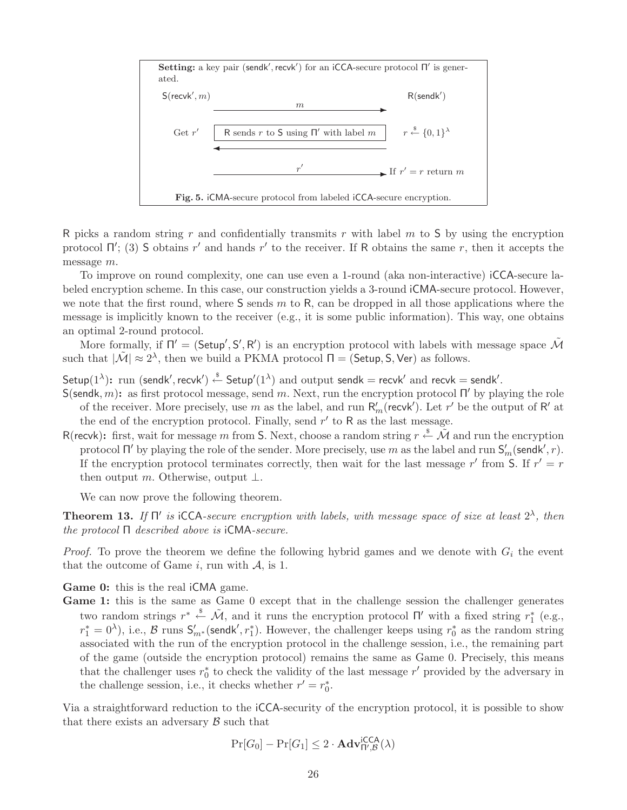

<span id="page-27-0"></span>R picks a random string r and confidentially transmits r with label  $m$  to S by using the encryption protocol Π'; (3) S obtains r' and hands r' to the receiver. If R obtains the same r, then it accepts the message m.

To improve on round complexity, one can use even a 1-round (aka non-interactive) iCCA-secure labeled encryption scheme. In this case, our construction yields a 3-round iCMA-secure protocol. However, we note that the first round, where  $S$  sends  $m$  to  $R$ , can be dropped in all those applications where the message is implicitly known to the receiver (e.g., it is some public information). This way, one obtains an optimal 2-round protocol.

More formally, if  $\Pi' = (\mathsf{Setup}', \mathsf{S}', \mathsf{R}')$  is an encryption protocol with labels with message space  $\tilde{\mathcal{M}}$ such that  $|\tilde{\mathcal{M}}| \approx 2^{\lambda}$ , then we build a PKMA protocol  $\Pi = ($ Setup, S, Ver) as follows.

Setup $(1^{\lambda})$ : run (sendk', recvk')  $\stackrel{\$}{\leftarrow}$  Setup' $(1^{\lambda})$  and output sendk = recvk' and recvk = sendk'.

- S(sendk, m): as first protocol message, send m. Next, run the encryption protocol  $\Pi'$  by playing the role of the receiver. More precisely, use m as the label, and run  $R'_m$  (recvk'). Let r' be the output of R' at the end of the encryption protocol. Finally, send  $r'$  to R as the last message.
- R(recvk): first, wait for message m from S. Next, choose a random string  $r \stackrel{\$}{\leftarrow} \tilde{\mathcal{M}}$  and run the encryption protocol  $\Pi'$  by playing the role of the sender. More precisely, use m as the label and run  $S'_m$  (sendk', r). If the encryption protocol terminates correctly, then wait for the last message r' from S. If  $r' = r$ then output m. Otherwise, output  $\bot$ .

We can now prove the following theorem.

**Theorem 13.** If  $\Pi'$  is iCCA-secure encryption with labels, with message space of size at least  $2^{\lambda}$ , then the protocol Π described above is iCMA-secure.

*Proof.* To prove the theorem we define the following hybrid games and we denote with  $G_i$  the event that the outcome of Game i, run with  $A$ , is 1.

Game 0: this is the real iCMA game.

Game 1: this is the same as Game 0 except that in the challenge session the challenger generates two random strings  $r^* \stackrel{\$}{\leftarrow} \tilde{\mathcal{M}}$ , and it runs the encryption protocol  $\Pi'$  with a fixed string  $r_1^*$  $_{1}^{*}$  (e.g.,  $r_1^* = 0^{\lambda}$ ), i.e.,  $\beta$  runs  $S'_{m^*}$  (sendk',  $r_1^*$ ). However, the challenger keeps using  $r_0^*$  $_{0}^{*}$  as the random string associated with the run of the encryption protocol in the challenge session, i.e., the remaining part of the game (outside the encryption protocol) remains the same as Game 0. Precisely, this means that the challenger uses  $r_0^*$  $\frac{1}{0}$  to check the validity of the last message  $r'$  provided by the adversary in the challenge session, i.e., it checks whether  $r' = r_0^*$  $\overset{*}{\scriptscriptstyle{0}}$ .

Via a straightforward reduction to the iCCA-security of the encryption protocol, it is possible to show that there exists an adversary  $\beta$  such that

$$
\Pr[G_0] - \Pr[G_1] \le 2 \cdot \mathbf{Adv}_{\Pi',\mathcal{B}}^{\mathsf{ICCA}}(\lambda)
$$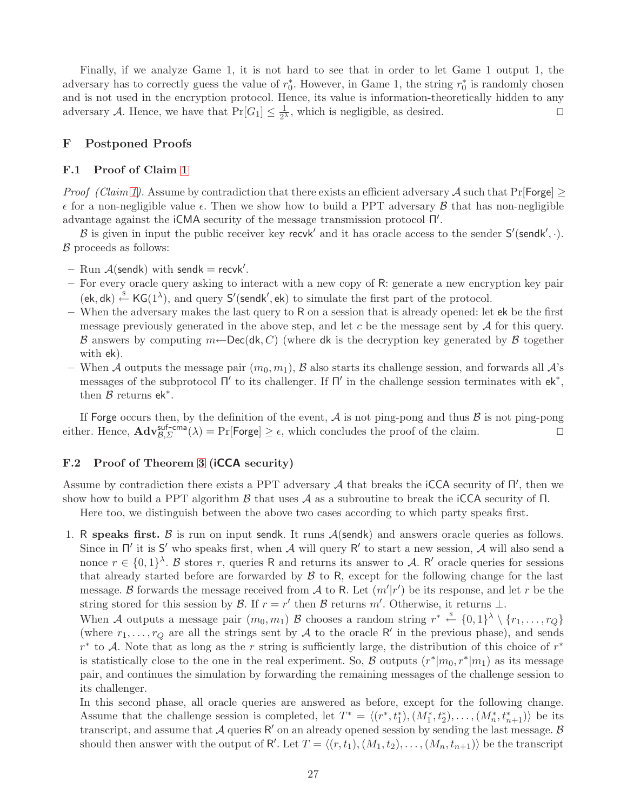Finally, if we analyze Game 1, it is not hard to see that in order to let Game 1 output 1, the adversary has to correctly guess the value of  $r_0^*$ <sup>\*</sup><sub>0</sub>. However, in Game 1, the string  $r_0^*$  $_0^*$  is randomly chosen and is not used in the encryption protocol. Hence, its value is information-theoretically hidden to any adversary A. Hence, we have that  $Pr[G_1] \leq \frac{1}{2^2}$  $\frac{1}{2^{\lambda}}$ , which is negligible, as desired. □

# <span id="page-28-1"></span><span id="page-28-0"></span>F Postponed Proofs

#### F.1 Proof of Claim [1](#page-9-0)

*Proof (Claim [1\)](#page-9-0).* Assume by contradiction that there exists an efficient adversary A such that  $Pr[Forge] >$  $\epsilon$  for a non-negligible value  $\epsilon$ . Then we show how to build a PPT adversary  $\beta$  that has non-negligible advantage against the iCMA security of the message transmission protocol Π ′ .

B is given in input the public receiver key recvk' and it has oracle access to the sender  $S'(sendk', \cdot)$ .  $\beta$  proceeds as follows:

- $-$  Run  $\mathcal{A}$ (sendk) with sendk = recvk'.
- For every oracle query asking to interact with a new copy of R: generate a new encryption key pair  $(ek, dk) \stackrel{\$}{\leftarrow} KG(1^{\lambda}),$  and query  $S'$ (sendk', ek) to simulate the first part of the protocol.
- When the adversary makes the last query to R on a session that is already opened: let ek be the first message previously generated in the above step, and let c be the message sent by  $A$  for this query. B answers by computing  $m \leftarrow \text{Dec}(\mathsf{dk}, C)$  (where dk is the decryption key generated by B together with ek).
- When A outputs the message pair  $(m_0, m_1)$ , B also starts its challenge session, and forwards all  $\mathcal{A}$ 's messages of the subprotocol  $\Pi'$  to its challenger. If  $\Pi'$  in the challenge session terminates with  $ek^*$ , then  $\mathcal B$  returns ek<sup>\*</sup>.

If Forge occurs then, by the definition of the event,  $A$  is not ping-pong and thus  $B$  is not ping-pong either. Hence,  $\mathbf{Adv}_{\mathcal{B},\Sigma}^{\text{suf-cma}}(\lambda) = \Pr[\text{Forge}] \geq \epsilon$ , which concludes the proof of the claim. □

#### <span id="page-28-2"></span>F.2 Proof of Theorem [3](#page-14-1) (iCCA security)

Assume by contradiction there exists a PPT adversary  $A$  that breaks the iCCA security of  $\Pi'$ , then we show how to build a PPT algorithm  $\beta$  that uses  $\mathcal A$  as a subroutine to break the iCCA security of  $\Pi$ .

Here too, we distinguish between the above two cases according to which party speaks first.

1. R speaks first. B is run on input sendk. It runs  $A$ (sendk) and answers oracle queries as follows. Since in  $\Pi'$  it is S' who speaks first, when A will query R' to start a new session, A will also send a nonce  $r \in \{0,1\}^{\lambda}$ . B stores r, queries R and returns its answer to A. R' oracle queries for sessions that already started before are forwarded by  $\beta$  to R, except for the following change for the last message. B forwards the message received from A to R. Let  $(m'|r')$  be its response, and let r be the string stored for this session by  $\mathcal{B}$ . If  $r = r'$  then  $\mathcal{B}$  returns m'. Otherwise, it returns  $\perp$ .

When A outputs a message pair  $(m_0, m_1)$  B chooses a random string  $r^* \stackrel{\$}{\leftarrow} \{0,1\}^{\lambda} \setminus \{r_1, \ldots, r_Q\}$ (where  $r_1, \ldots, r_Q$  are all the strings sent by A to the oracle R' in the previous phase), and sends  $r^*$  to A. Note that as long as the r string is sufficiently large, the distribution of this choice of  $r^*$ is statistically close to the one in the real experiment. So,  $\beta$  outputs  $(r^*|m_0, r^*|m_1)$  as its message pair, and continues the simulation by forwarding the remaining messages of the challenge session to its challenger.

In this second phase, all oracle queries are answered as before, except for the following change. Assume that the challenge session is completed, let  $T^* = \langle (r^*, t_1^*), (M_1^*, t_2^*), \ldots, (M_n^*, t_{n+1}^*) \rangle$  be its transcript, and assume that  $A$  queries R' on an already opened session by sending the last message.  $B$ should then answer with the output of R'. Let  $T = \langle (r, t_1), (M_1, t_2), \ldots, (M_n, t_{n+1}) \rangle$  be the transcript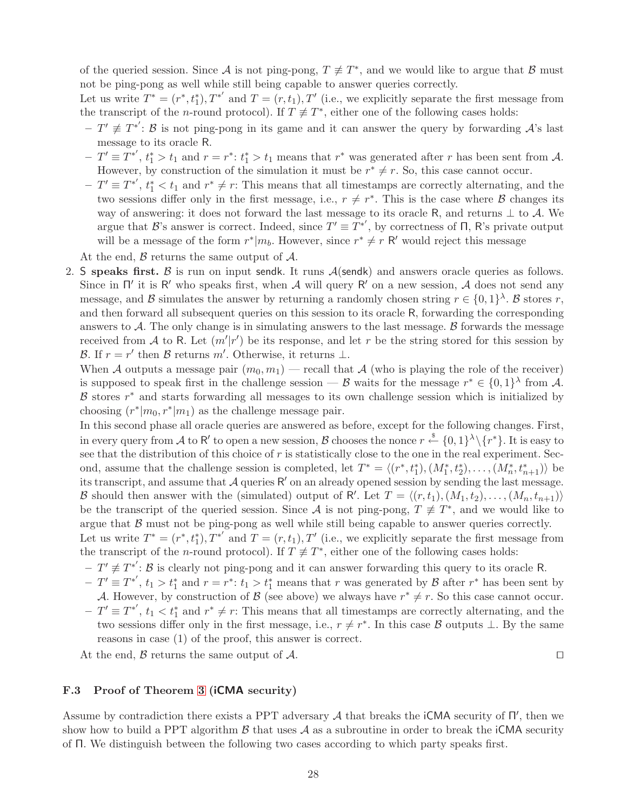of the queried session. Since A is not ping-pong,  $T \neq T^*$ , and we would like to argue that B must not be ping-pong as well while still being capable to answer queries correctly.

Let us write  $T^* = (r^*, t_1^*), T^{*'}$  and  $T = (r, t_1), T'$  (i.e., we explicitly separate the first message from the transcript of the *n*-round protocol). If  $T \neq T^*$ , either one of the following cases holds:

- $-T' \neq T^{*'}$ : B is not ping-pong in its game and it can answer the query by forwarding  $\mathcal{A}$ 's last message to its oracle R.
- $-T' \equiv T^{*'}$ ,  $t_1^* > t_1$  and  $r = r^*$ :  $t_1^* > t_1$  means that  $r^*$  was generated after r has been sent from A. However, by construction of the simulation it must be  $r^* \neq r$ . So, this case cannot occur.
- $-T' \equiv T^{*'}$ ,  $t_1^* < t_1$  and  $r^* \neq r$ : This means that all timestamps are correctly alternating, and the two sessions differ only in the first message, i.e.,  $r \neq r^*$ . This is the case where  $\beta$  changes its way of answering: it does not forward the last message to its oracle R, and returns  $\perp$  to A. We argue that B's answer is correct. Indeed, since  $T' \equiv T^{*'}$ , by correctness of  $\Pi$ , R's private output will be a message of the form  $r^*|m_b$ . However, since  $r^* \neq r$  R' would reject this message

At the end,  $\beta$  returns the same output of  $\mathcal{A}$ .

2. S speaks first. B is run on input sendk. It runs  $A$ (sendk) and answers oracle queries as follows. Since in  $\Pi'$  it is R' who speaks first, when A will query R' on a new session, A does not send any message, and B simulates the answer by returning a randomly chosen string  $r \in \{0,1\}^{\lambda}$ . B stores r, and then forward all subsequent queries on this session to its oracle R, forwarding the corresponding answers to A. The only change is in simulating answers to the last message.  $\beta$  forwards the message received from A to R. Let  $(m'|r')$  be its response, and let r be the string stored for this session by B. If  $r = r'$  then B returns m'. Otherwise, it returns  $\perp$ .

When A outputs a message pair  $(m_0, m_1)$  — recall that A (who is playing the role of the receiver) is supposed to speak first in the challenge session — B waits for the message  $r^* \in \{0,1\}^{\lambda}$  from A.  $\beta$  stores  $r^*$  and starts forwarding all messages to its own challenge session which is initialized by choosing  $(r^*|m_0, r^*|m_1)$  as the challenge message pair.

In this second phase all oracle queries are answered as before, except for the following changes. First, in every query from A to R' to open a new session, B chooses the nonce  $r \stackrel{\$}{\leftarrow} \{0,1\}^{\lambda} \setminus \{r^*\}$ . It is easy to see that the distribution of this choice of  $r$  is statistically close to the one in the real experiment. Second, assume that the challenge session is completed, let  $T^* = \langle (r^*, t_1^*), (M_1^*, t_2^*), \ldots, (M_n^*, t_{n+1}^*) \rangle$  be its transcript, and assume that A queries R ′ on an already opened session by sending the last message. B should then answer with the (simulated) output of R'. Let  $T = \langle (r, t_1), (M_1, t_2), \ldots, (M_n, t_{n+1}) \rangle$ be the transcript of the queried session. Since A is not ping-pong,  $T \neq T^*$ , and we would like to argue that  $\beta$  must not be ping-pong as well while still being capable to answer queries correctly. Let us write  $T^* = (r^*, t_1^*), T^{*'}$  and  $T = (r, t_1), T'$  (i.e., we explicitly separate the first message from

the transcript of the *n*-round protocol). If  $T \neq T^*$ , either one of the following cases holds:

- $-\bar{T}' \not\equiv T^{*'}: \mathcal{B}$  is clearly not ping-pong and it can answer forwarding this query to its oracle R.
- $-T' \equiv T^{*'}$ ,  $t_1 > t_1^*$  and  $r = r^*$ :  $t_1 > t_1^*$  means that r was generated by  $\mathcal{B}$  after  $r^*$  has been sent by
- A. However, by construction of B (see above) we always have  $r^* \neq r$ . So this case cannot occur.  $-T' \equiv T^{*'}$ ,  $t_1 < t_1^*$  and  $r^* \neq r$ : This means that all timestamps are correctly alternating, and the two sessions differ only in the first message, i.e.,  $r \neq r^*$ . In this case B outputs  $\perp$ . By the same reasons in case (1) of the proof, this answer is correct.

At the end, B returns the same output of A. □

# <span id="page-29-0"></span>F.3 Proof of Theorem [3](#page-14-1) (iCMA security)

Assume by contradiction there exists a PPT adversary  $A$  that breaks the iCMA security of  $\Pi'$ , then we show how to build a PPT algorithm  $\beta$  that uses  $\mathcal A$  as a subroutine in order to break the iCMA security of Π. We distinguish between the following two cases according to which party speaks first.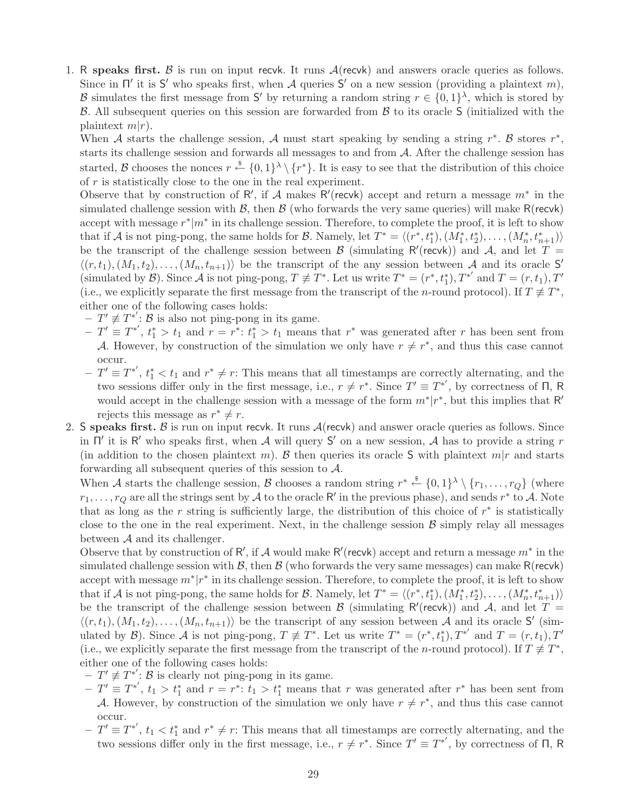1. R speaks first. B is run on input recvk. It runs  $A$ (recvk) and answers oracle queries as follows. Since in  $\Pi'$  it is S' who speaks first, when A queries S' on a new session (providing a plaintext m), B simulates the first message from S' by returning a random string  $r \in \{0,1\}^{\lambda}$ , which is stored by  $\beta$ . All subsequent queries on this session are forwarded from  $\beta$  to its oracle S (initialized with the plaintext  $m(r)$ .

When A starts the challenge session, A must start speaking by sending a string r<sup>\*</sup>. B stores r<sup>\*</sup>, starts its challenge session and forwards all messages to and from A. After the challenge session has started, B chooses the nonces  $r \stackrel{\$}{\leftarrow} \{0,1\}^{\lambda} \setminus \{r^*\}$ . It is easy to see that the distribution of this choice of r is statistically close to the one in the real experiment.

Observe that by construction of R', if A makes R'(recvk) accept and return a message  $m^*$  in the simulated challenge session with  $\beta$ , then  $\beta$  (who forwards the very same queries) will make R(recvk) accept with message  $r^*|m^*$  in its challenge session. Therefore, to complete the proof, it is left to show that if A is not ping-pong, the same holds for B. Namely, let  $T^* = \langle (r^*, t_1^*), (M_1^*, t_2^*), \ldots, (M_n^*, t_{n+1}^*) \rangle$ be the transcript of the challenge session between  $\beta$  (simulating R'(recvk)) and A, and let  $T =$  $\langle (r, t_1), (M_1, t_2), \ldots, (M_n, t_{n+1}) \rangle$  be the transcript of the any session between A and its oracle S' (simulated by  $\mathcal{B}$ ). Since  $\mathcal{A}$  is not ping-pong,  $T \neq T^*$ . Let us write  $T^* = (r^*, t_1^*), T^{*'}$  and  $T = (r, t_1), T'$ (i.e., we explicitly separate the first message from the transcript of the *n*-round protocol). If  $T \neq T^*$ , either one of the following cases holds:

- $\overline{f} T' \not\equiv T^{*'}$ :  $\overline{B}$  is also not ping-pong in its game.
- $-T' \equiv T^{*'}$ ,  $t_1^* > t_1$  and  $r = r^*$ :  $t_1^* > t_1$  means that  $r^*$  was generated after r has been sent from A. However, by construction of the simulation we only have  $r \neq r^*$ , and thus this case cannot occur.
- $-\ T' \equiv T^{*'}$ ,  $t_1^* < t_1$  and  $r^* \neq r$ : This means that all timestamps are correctly alternating, and the two sessions differ only in the first message, i.e.,  $r \neq r^*$ . Since  $T' \equiv T^{*'}$ , by correctness of  $\Pi$ , R would accept in the challenge session with a message of the form  $m^*|r^*$ , but this implies that R' rejects this message as  $r^* \neq r$ .
- 2. S speaks first. B is run on input recvk. It runs  $A$ (recvk) and answer oracle queries as follows. Since in  $\Pi'$  it is R' who speaks first, when A will query S' on a new session, A has to provide a string r (in addition to the chosen plaintext m). B then queries its oracle S with plaintext  $m|r$  and starts forwarding all subsequent queries of this session to  $A$ .

When A starts the challenge session, B chooses a random string  $r^* \stackrel{\$}{\leftarrow} \{0,1\}^{\lambda} \setminus \{r_1,\ldots,r_Q\}$  (where  $r_1, \ldots, r_Q$  are all the strings sent by  $\mathcal A$  to the oracle  $\mathsf R'$  in the previous phase), and sends  $r^*$  to  $\mathcal A$ . Note that as long as the r string is sufficiently large, the distribution of this choice of  $r^*$  is statistically close to the one in the real experiment. Next, in the challenge session  $\beta$  simply relay all messages between  $A$  and its challenger.

Observe that by construction of  $R'$ , if A would make  $R'$  (recvk) accept and return a message  $m^*$  in the simulated challenge session with  $\mathcal{B}$ , then  $\mathcal{B}$  (who forwards the very same messages) can make R(recvk) accept with message  $m^*|r^*$  in its challenge session. Therefore, to complete the proof, it is left to show that if A is not ping-pong, the same holds for B. Namely, let  $T^* = \langle (r^*, t_1^*), (M_1^*, t_2^*), \ldots, (M_n^*, t_{n+1}^*) \rangle$ be the transcript of the challenge session between  $\beta$  (simulating R'(recvk)) and A, and let  $T =$  $\langle (r, t_1), (M_1, t_2), \ldots, (M_n, t_{n+1}) \rangle$  be the transcript of any session between A and its oracle S' (simulated by  $\mathcal{B}$ ). Since  $\mathcal{A}$  is not ping-pong,  $T \not\equiv T^*$ . Let us write  $T^* = (r^*, t_1^*), T^{*'}$  and  $T = (r, t_1), T'$ (i.e., we explicitly separate the first message from the transcript of the *n*-round protocol). If  $T \neq T^*$ , either one of the following cases holds:

- $-T' \not\equiv T^{*'}$ :  $\mathcal{B}$  is clearly not ping-pong in its game.
- $-T' \equiv T^{*'}$ ,  $t_1 > t_1^*$  and  $r = r^*$ :  $t_1 > t_1^*$  means that r was generated after r<sup>\*</sup> has been sent from A. However, by construction of the simulation we only have  $r \neq r^*$ , and thus this case cannot occur.
- $-T' \equiv T^{*'}$ ,  $t_1 < t_1^*$  and  $r^* \neq r$ : This means that all timestamps are correctly alternating, and the two sessions differ only in the first message, i.e.,  $r \neq r^*$ . Since  $T' \equiv T^{*'}$ , by correctness of  $\Pi$ , R